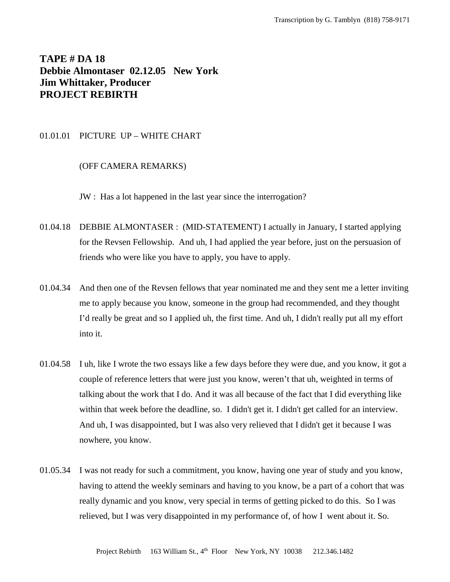# **TAPE # DA 18 Debbie Almontaser 02.12.05 New York Jim Whittaker, Producer PROJECT REBIRTH**

# 01.01.01 PICTURE UP – WHITE CHART

## (OFF CAMERA REMARKS)

JW : Has a lot happened in the last year since the interrogation?

- 01.04.18 DEBBIE ALMONTASER : (MID-STATEMENT) I actually in January, I started applying for the Revsen Fellowship. And uh, I had applied the year before, just on the persuasion of friends who were like you have to apply, you have to apply.
- 01.04.34 And then one of the Revsen fellows that year nominated me and they sent me a letter inviting me to apply because you know, someone in the group had recommended, and they thought I'd really be great and so I applied uh, the first time. And uh, I didn't really put all my effort into it.
- 01.04.58 I uh, like I wrote the two essays like a few days before they were due, and you know, it got a couple of reference letters that were just you know, weren't that uh, weighted in terms of talking about the work that I do. And it was all because of the fact that I did everything like within that week before the deadline, so. I didn't get it. I didn't get called for an interview. And uh, I was disappointed, but I was also very relieved that I didn't get it because I was nowhere, you know.
- 01.05.34 I was not ready for such a commitment, you know, having one year of study and you know, having to attend the weekly seminars and having to you know, be a part of a cohort that was really dynamic and you know, very special in terms of getting picked to do this. So I was relieved, but I was very disappointed in my performance of, of how I went about it. So.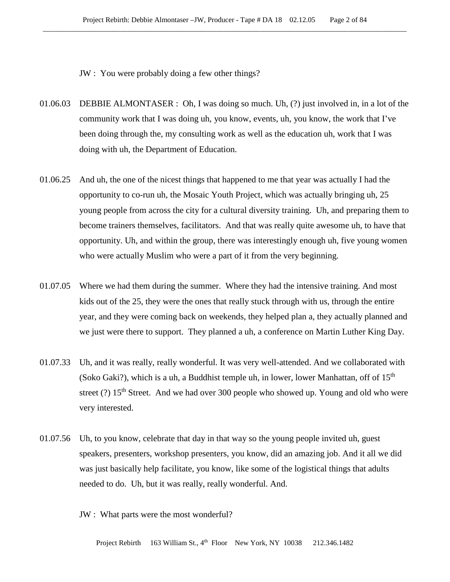JW : You were probably doing a few other things?

- 01.06.03 DEBBIE ALMONTASER : Oh, I was doing so much. Uh, (?) just involved in, in a lot of the community work that I was doing uh, you know, events, uh, you know, the work that I've been doing through the, my consulting work as well as the education uh, work that I was doing with uh, the Department of Education.
- 01.06.25 And uh, the one of the nicest things that happened to me that year was actually I had the opportunity to co-run uh, the Mosaic Youth Project, which was actually bringing uh, 25 young people from across the city for a cultural diversity training. Uh, and preparing them to become trainers themselves, facilitators. And that was really quite awesome uh, to have that opportunity. Uh, and within the group, there was interestingly enough uh, five young women who were actually Muslim who were a part of it from the very beginning.
- 01.07.05 Where we had them during the summer. Where they had the intensive training. And most kids out of the 25, they were the ones that really stuck through with us, through the entire year, and they were coming back on weekends, they helped plan a, they actually planned and we just were there to support. They planned a uh, a conference on Martin Luther King Day.
- 01.07.33 Uh, and it was really, really wonderful. It was very well-attended. And we collaborated with (Soko Gaki?), which is a uh, a Buddhist temple uh, in lower, lower Manhattan, off of  $15<sup>th</sup>$ street (?)  $15<sup>th</sup>$  Street. And we had over 300 people who showed up. Young and old who were very interested.
- 01.07.56 Uh, to you know, celebrate that day in that way so the young people invited uh, guest speakers, presenters, workshop presenters, you know, did an amazing job. And it all we did was just basically help facilitate, you know, like some of the logistical things that adults needed to do. Uh, but it was really, really wonderful. And.
	- JW : What parts were the most wonderful?

Project Rebirth 163 William St., 4<sup>th</sup> Floor New York, NY 10038 212.346.1482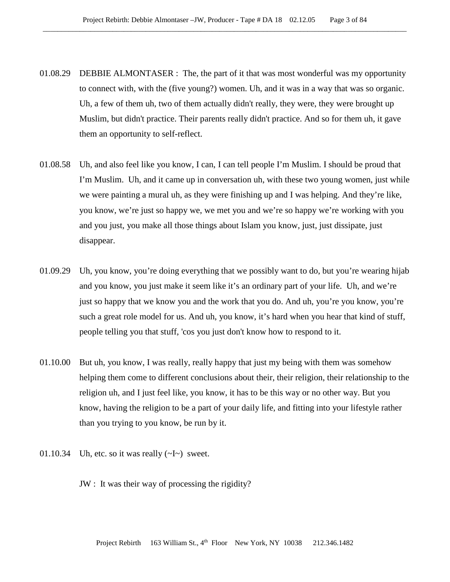- 01.08.29 DEBBIE ALMONTASER : The, the part of it that was most wonderful was my opportunity to connect with, with the (five young?) women. Uh, and it was in a way that was so organic. Uh, a few of them uh, two of them actually didn't really, they were, they were brought up Muslim, but didn't practice. Their parents really didn't practice. And so for them uh, it gave them an opportunity to self-reflect.
- 01.08.58 Uh, and also feel like you know, I can, I can tell people I'm Muslim. I should be proud that I'm Muslim. Uh, and it came up in conversation uh, with these two young women, just while we were painting a mural uh, as they were finishing up and I was helping. And they're like, you know, we're just so happy we, we met you and we're so happy we're working with you and you just, you make all those things about Islam you know, just, just dissipate, just disappear.
- 01.09.29 Uh, you know, you're doing everything that we possibly want to do, but you're wearing hijab and you know, you just make it seem like it's an ordinary part of your life. Uh, and we're just so happy that we know you and the work that you do. And uh, you're you know, you're such a great role model for us. And uh, you know, it's hard when you hear that kind of stuff, people telling you that stuff, 'cos you just don't know how to respond to it.
- 01.10.00 But uh, you know, I was really, really happy that just my being with them was somehow helping them come to different conclusions about their, their religion, their relationship to the religion uh, and I just feel like, you know, it has to be this way or no other way. But you know, having the religion to be a part of your daily life, and fitting into your lifestyle rather than you trying to you know, be run by it.
- 01.10.34 Uh, etc. so it was really  $(\sim I \sim)$  sweet.
	- JW : It was their way of processing the rigidity?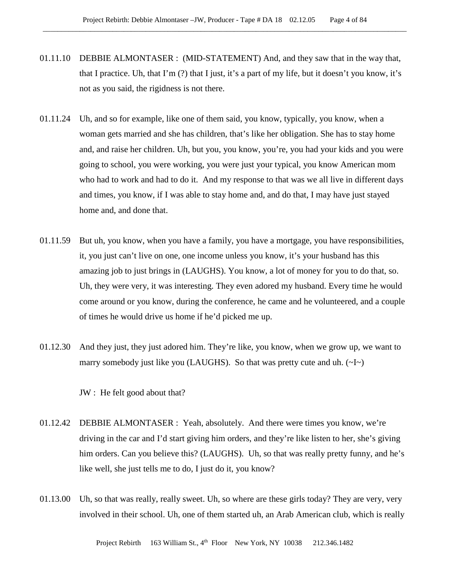- 01.11.10 DEBBIE ALMONTASER : (MID-STATEMENT) And, and they saw that in the way that, that I practice. Uh, that I'm (?) that I just, it's a part of my life, but it doesn't you know, it's not as you said, the rigidness is not there.
- 01.11.24 Uh, and so for example, like one of them said, you know, typically, you know, when a woman gets married and she has children, that's like her obligation. She has to stay home and, and raise her children. Uh, but you, you know, you're, you had your kids and you were going to school, you were working, you were just your typical, you know American mom who had to work and had to do it. And my response to that was we all live in different days and times, you know, if I was able to stay home and, and do that, I may have just stayed home and, and done that.
- 01.11.59 But uh, you know, when you have a family, you have a mortgage, you have responsibilities, it, you just can't live on one, one income unless you know, it's your husband has this amazing job to just brings in (LAUGHS). You know, a lot of money for you to do that, so. Uh, they were very, it was interesting. They even adored my husband. Every time he would come around or you know, during the conference, he came and he volunteered, and a couple of times he would drive us home if he'd picked me up.
- 01.12.30 And they just, they just adored him. They're like, you know, when we grow up, we want to marry somebody just like you (LAUGHS). So that was pretty cute and uh.  $(\sim I \sim)$

JW : He felt good about that?

- 01.12.42 DEBBIE ALMONTASER : Yeah, absolutely. And there were times you know, we're driving in the car and I'd start giving him orders, and they're like listen to her, she's giving him orders. Can you believe this? (LAUGHS). Uh, so that was really pretty funny, and he's like well, she just tells me to do, I just do it, you know?
- 01.13.00 Uh, so that was really, really sweet. Uh, so where are these girls today? They are very, very involved in their school. Uh, one of them started uh, an Arab American club, which is really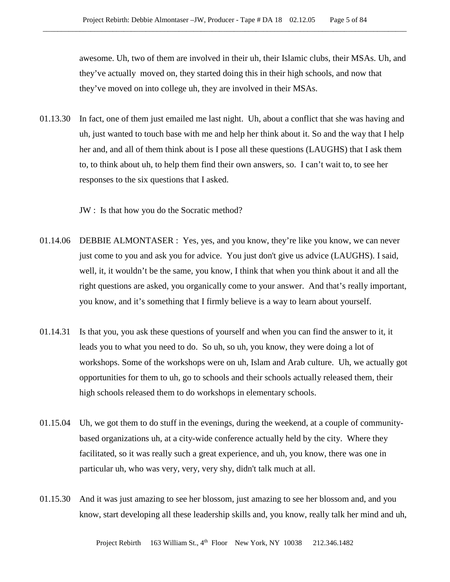awesome. Uh, two of them are involved in their uh, their Islamic clubs, their MSAs. Uh, and they've actually moved on, they started doing this in their high schools, and now that they've moved on into college uh, they are involved in their MSAs.

01.13.30 In fact, one of them just emailed me last night. Uh, about a conflict that she was having and uh, just wanted to touch base with me and help her think about it. So and the way that I help her and, and all of them think about is I pose all these questions (LAUGHS) that I ask them to, to think about uh, to help them find their own answers, so. I can't wait to, to see her responses to the six questions that I asked.

JW : Is that how you do the Socratic method?

- 01.14.06 DEBBIE ALMONTASER : Yes, yes, and you know, they're like you know, we can never just come to you and ask you for advice. You just don't give us advice (LAUGHS). I said, well, it, it wouldn't be the same, you know, I think that when you think about it and all the right questions are asked, you organically come to your answer. And that's really important, you know, and it's something that I firmly believe is a way to learn about yourself.
- 01.14.31 Is that you, you ask these questions of yourself and when you can find the answer to it, it leads you to what you need to do. So uh, so uh, you know, they were doing a lot of workshops. Some of the workshops were on uh, Islam and Arab culture. Uh, we actually got opportunities for them to uh, go to schools and their schools actually released them, their high schools released them to do workshops in elementary schools.
- 01.15.04 Uh, we got them to do stuff in the evenings, during the weekend, at a couple of communitybased organizations uh, at a city-wide conference actually held by the city. Where they facilitated, so it was really such a great experience, and uh, you know, there was one in particular uh, who was very, very, very shy, didn't talk much at all.
- 01.15.30 And it was just amazing to see her blossom, just amazing to see her blossom and, and you know, start developing all these leadership skills and, you know, really talk her mind and uh,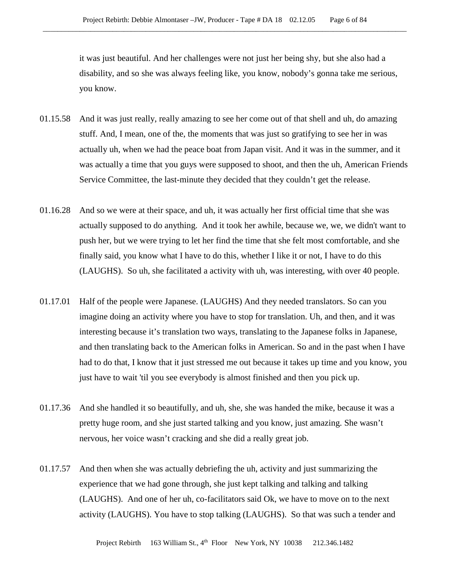it was just beautiful. And her challenges were not just her being shy, but she also had a disability, and so she was always feeling like, you know, nobody's gonna take me serious, you know.

- 01.15.58 And it was just really, really amazing to see her come out of that shell and uh, do amazing stuff. And, I mean, one of the, the moments that was just so gratifying to see her in was actually uh, when we had the peace boat from Japan visit. And it was in the summer, and it was actually a time that you guys were supposed to shoot, and then the uh, American Friends Service Committee, the last-minute they decided that they couldn't get the release.
- 01.16.28 And so we were at their space, and uh, it was actually her first official time that she was actually supposed to do anything. And it took her awhile, because we, we, we didn't want to push her, but we were trying to let her find the time that she felt most comfortable, and she finally said, you know what I have to do this, whether I like it or not, I have to do this (LAUGHS). So uh, she facilitated a activity with uh, was interesting, with over 40 people.
- 01.17.01 Half of the people were Japanese. (LAUGHS) And they needed translators. So can you imagine doing an activity where you have to stop for translation. Uh, and then, and it was interesting because it's translation two ways, translating to the Japanese folks in Japanese, and then translating back to the American folks in American. So and in the past when I have had to do that, I know that it just stressed me out because it takes up time and you know, you just have to wait 'til you see everybody is almost finished and then you pick up.
- 01.17.36 And she handled it so beautifully, and uh, she, she was handed the mike, because it was a pretty huge room, and she just started talking and you know, just amazing. She wasn't nervous, her voice wasn't cracking and she did a really great job.
- 01.17.57 And then when she was actually debriefing the uh, activity and just summarizing the experience that we had gone through, she just kept talking and talking and talking (LAUGHS). And one of her uh, co-facilitators said Ok, we have to move on to the next activity (LAUGHS). You have to stop talking (LAUGHS). So that was such a tender and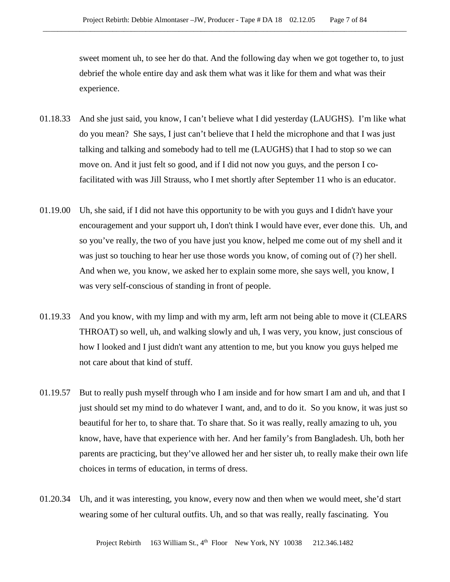sweet moment uh, to see her do that. And the following day when we got together to, to just debrief the whole entire day and ask them what was it like for them and what was their experience.

- 01.18.33 And she just said, you know, I can't believe what I did yesterday (LAUGHS). I'm like what do you mean? She says, I just can't believe that I held the microphone and that I was just talking and talking and somebody had to tell me (LAUGHS) that I had to stop so we can move on. And it just felt so good, and if I did not now you guys, and the person I cofacilitated with was Jill Strauss, who I met shortly after September 11 who is an educator.
- 01.19.00 Uh, she said, if I did not have this opportunity to be with you guys and I didn't have your encouragement and your support uh, I don't think I would have ever, ever done this. Uh, and so you've really, the two of you have just you know, helped me come out of my shell and it was just so touching to hear her use those words you know, of coming out of (?) her shell. And when we, you know, we asked her to explain some more, she says well, you know, I was very self-conscious of standing in front of people.
- 01.19.33 And you know, with my limp and with my arm, left arm not being able to move it (CLEARS THROAT) so well, uh, and walking slowly and uh, I was very, you know, just conscious of how I looked and I just didn't want any attention to me, but you know you guys helped me not care about that kind of stuff.
- 01.19.57 But to really push myself through who I am inside and for how smart I am and uh, and that I just should set my mind to do whatever I want, and, and to do it. So you know, it was just so beautiful for her to, to share that. To share that. So it was really, really amazing to uh, you know, have, have that experience with her. And her family's from Bangladesh. Uh, both her parents are practicing, but they've allowed her and her sister uh, to really make their own life choices in terms of education, in terms of dress.
- 01.20.34 Uh, and it was interesting, you know, every now and then when we would meet, she'd start wearing some of her cultural outfits. Uh, and so that was really, really fascinating. You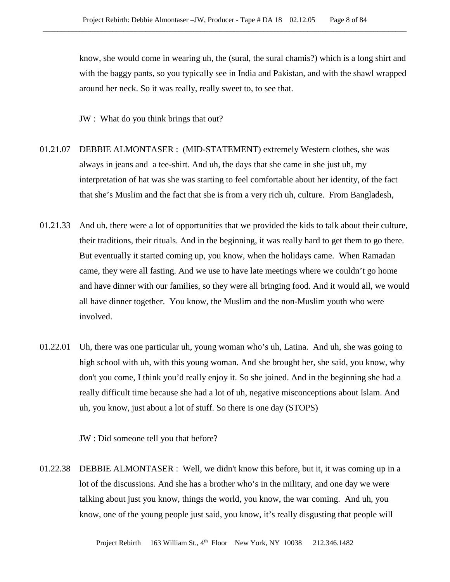know, she would come in wearing uh, the (sural, the sural chamis?) which is a long shirt and with the baggy pants, so you typically see in India and Pakistan, and with the shawl wrapped around her neck. So it was really, really sweet to, to see that.

JW : What do you think brings that out?

- 01.21.07 DEBBIE ALMONTASER : (MID-STATEMENT) extremely Western clothes, she was always in jeans and a tee-shirt. And uh, the days that she came in she just uh, my interpretation of hat was she was starting to feel comfortable about her identity, of the fact that she's Muslim and the fact that she is from a very rich uh, culture. From Bangladesh,
- 01.21.33 And uh, there were a lot of opportunities that we provided the kids to talk about their culture, their traditions, their rituals. And in the beginning, it was really hard to get them to go there. But eventually it started coming up, you know, when the holidays came. When Ramadan came, they were all fasting. And we use to have late meetings where we couldn't go home and have dinner with our families, so they were all bringing food. And it would all, we would all have dinner together. You know, the Muslim and the non-Muslim youth who were involved.
- 01.22.01 Uh, there was one particular uh, young woman who's uh, Latina. And uh, she was going to high school with uh, with this young woman. And she brought her, she said, you know, why don't you come, I think you'd really enjoy it. So she joined. And in the beginning she had a really difficult time because she had a lot of uh, negative misconceptions about Islam. And uh, you know, just about a lot of stuff. So there is one day (STOPS)

JW : Did someone tell you that before?

01.22.38 DEBBIE ALMONTASER : Well, we didn't know this before, but it, it was coming up in a lot of the discussions. And she has a brother who's in the military, and one day we were talking about just you know, things the world, you know, the war coming. And uh, you know, one of the young people just said, you know, it's really disgusting that people will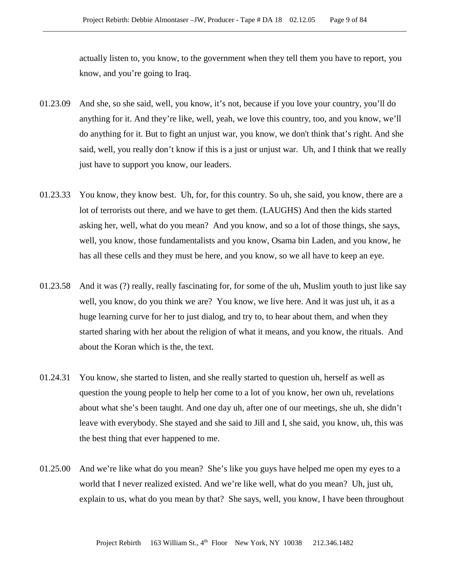actually listen to, you know, to the government when they tell them you have to report, you know, and you're going to Iraq.

- 01.23.09 And she, so she said, well, you know, it's not, because if you love your country, you'll do anything for it. And they're like, well, yeah, we love this country, too, and you know, we'll do anything for it. But to fight an unjust war, you know, we don't think that's right. And she said, well, you really don't know if this is a just or unjust war. Uh, and I think that we really just have to support you know, our leaders.
- 01.23.33 You know, they know best. Uh, for, for this country. So uh, she said, you know, there are a lot of terrorists out there, and we have to get them. (LAUGHS) And then the kids started asking her, well, what do you mean? And you know, and so a lot of those things, she says, well, you know, those fundamentalists and you know, Osama bin Laden, and you know, he has all these cells and they must be here, and you know, so we all have to keep an eye.
- 01.23.58 And it was (?) really, really fascinating for, for some of the uh, Muslim youth to just like say well, you know, do you think we are? You know, we live here. And it was just uh, it as a huge learning curve for her to just dialog, and try to, to hear about them, and when they started sharing with her about the religion of what it means, and you know, the rituals. And about the Koran which is the, the text.
- 01.24.31 You know, she started to listen, and she really started to question uh, herself as well as question the young people to help her come to a lot of you know, her own uh, revelations about what she's been taught. And one day uh, after one of our meetings, she uh, she didn't leave with everybody. She stayed and she said to Jill and I, she said, you know, uh, this was the best thing that ever happened to me.
- 01.25.00 And we're like what do you mean? She's like you guys have helped me open my eyes to a world that I never realized existed. And we're like well, what do you mean? Uh, just uh, explain to us, what do you mean by that? She says, well, you know, I have been throughout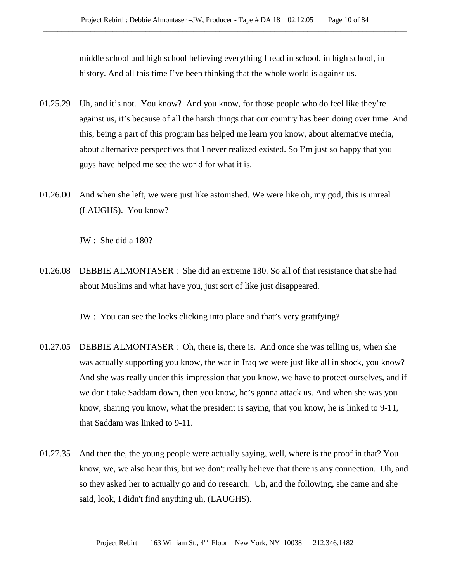middle school and high school believing everything I read in school, in high school, in history. And all this time I've been thinking that the whole world is against us.

- 01.25.29 Uh, and it's not. You know? And you know, for those people who do feel like they're against us, it's because of all the harsh things that our country has been doing over time. And this, being a part of this program has helped me learn you know, about alternative media, about alternative perspectives that I never realized existed. So I'm just so happy that you guys have helped me see the world for what it is.
- 01.26.00 And when she left, we were just like astonished. We were like oh, my god, this is unreal (LAUGHS). You know?

JW : She did a 180?

01.26.08 DEBBIE ALMONTASER : She did an extreme 180. So all of that resistance that she had about Muslims and what have you, just sort of like just disappeared.

JW : You can see the locks clicking into place and that's very gratifying?

- 01.27.05 DEBBIE ALMONTASER : Oh, there is, there is. And once she was telling us, when she was actually supporting you know, the war in Iraq we were just like all in shock, you know? And she was really under this impression that you know, we have to protect ourselves, and if we don't take Saddam down, then you know, he's gonna attack us. And when she was you know, sharing you know, what the president is saying, that you know, he is linked to 9-11, that Saddam was linked to 9-11.
- 01.27.35 And then the, the young people were actually saying, well, where is the proof in that? You know, we, we also hear this, but we don't really believe that there is any connection. Uh, and so they asked her to actually go and do research. Uh, and the following, she came and she said, look, I didn't find anything uh, (LAUGHS).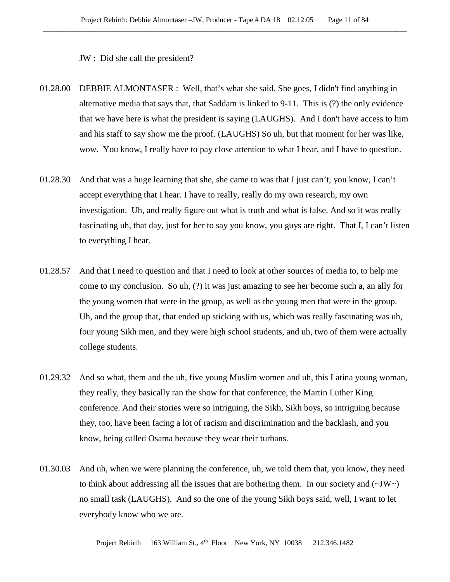JW : Did she call the president?

- 01.28.00 DEBBIE ALMONTASER : Well, that's what she said. She goes, I didn't find anything in alternative media that says that, that Saddam is linked to 9-11. This is (?) the only evidence that we have here is what the president is saying (LAUGHS). And I don't have access to him and his staff to say show me the proof. (LAUGHS) So uh, but that moment for her was like, wow. You know, I really have to pay close attention to what I hear, and I have to question.
- 01.28.30 And that was a huge learning that she, she came to was that I just can't, you know, I can't accept everything that I hear. I have to really, really do my own research, my own investigation. Uh, and really figure out what is truth and what is false. And so it was really fascinating uh, that day, just for her to say you know, you guys are right. That I, I can't listen to everything I hear.
- 01.28.57 And that I need to question and that I need to look at other sources of media to, to help me come to my conclusion. So uh, (?) it was just amazing to see her become such a, an ally for the young women that were in the group, as well as the young men that were in the group. Uh, and the group that, that ended up sticking with us, which was really fascinating was uh, four young Sikh men, and they were high school students, and uh, two of them were actually college students.
- 01.29.32 And so what, them and the uh, five young Muslim women and uh, this Latina young woman, they really, they basically ran the show for that conference, the Martin Luther King conference. And their stories were so intriguing, the Sikh, Sikh boys, so intriguing because they, too, have been facing a lot of racism and discrimination and the backlash, and you know, being called Osama because they wear their turbans.
- 01.30.03 And uh, when we were planning the conference, uh, we told them that, you know, they need to think about addressing all the issues that are bothering them. In our society and  $(\sim JW \sim)$ no small task (LAUGHS). And so the one of the young Sikh boys said, well, I want to let everybody know who we are.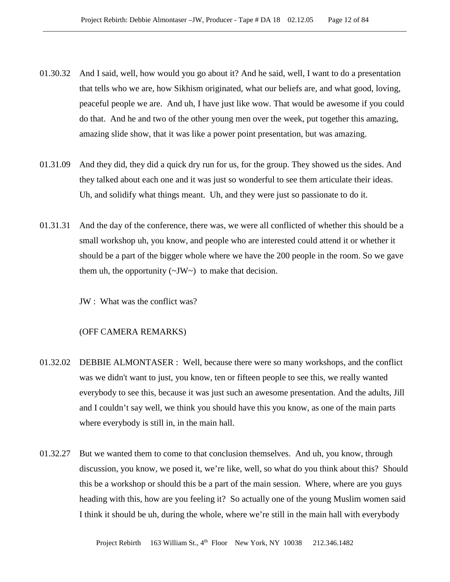- 01.30.32 And I said, well, how would you go about it? And he said, well, I want to do a presentation that tells who we are, how Sikhism originated, what our beliefs are, and what good, loving, peaceful people we are. And uh, I have just like wow. That would be awesome if you could do that. And he and two of the other young men over the week, put together this amazing, amazing slide show, that it was like a power point presentation, but was amazing.
- 01.31.09 And they did, they did a quick dry run for us, for the group. They showed us the sides. And they talked about each one and it was just so wonderful to see them articulate their ideas. Uh, and solidify what things meant. Uh, and they were just so passionate to do it.
- 01.31.31 And the day of the conference, there was, we were all conflicted of whether this should be a small workshop uh, you know, and people who are interested could attend it or whether it should be a part of the bigger whole where we have the 200 people in the room. So we gave them uh, the opportunity  $(\sim JW)$  to make that decision.

JW : What was the conflict was?

## (OFF CAMERA REMARKS)

- 01.32.02 DEBBIE ALMONTASER : Well, because there were so many workshops, and the conflict was we didn't want to just, you know, ten or fifteen people to see this, we really wanted everybody to see this, because it was just such an awesome presentation. And the adults, Jill and I couldn't say well, we think you should have this you know, as one of the main parts where everybody is still in, in the main hall.
- 01.32.27 But we wanted them to come to that conclusion themselves. And uh, you know, through discussion, you know, we posed it, we're like, well, so what do you think about this? Should this be a workshop or should this be a part of the main session. Where, where are you guys heading with this, how are you feeling it? So actually one of the young Muslim women said I think it should be uh, during the whole, where we're still in the main hall with everybody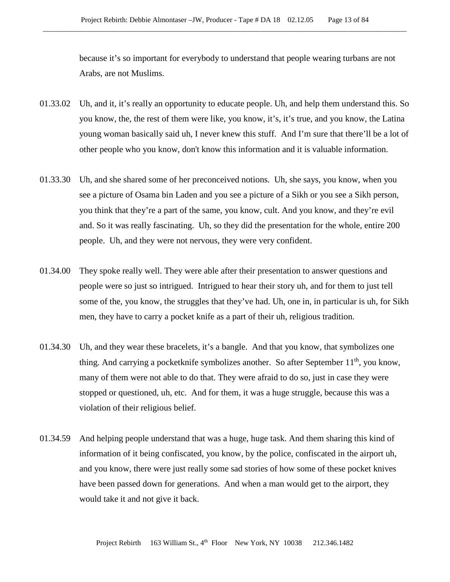because it's so important for everybody to understand that people wearing turbans are not Arabs, are not Muslims.

- 01.33.02 Uh, and it, it's really an opportunity to educate people. Uh, and help them understand this. So you know, the, the rest of them were like, you know, it's, it's true, and you know, the Latina young woman basically said uh, I never knew this stuff. And I'm sure that there'll be a lot of other people who you know, don't know this information and it is valuable information.
- 01.33.30 Uh, and she shared some of her preconceived notions. Uh, she says, you know, when you see a picture of Osama bin Laden and you see a picture of a Sikh or you see a Sikh person, you think that they're a part of the same, you know, cult. And you know, and they're evil and. So it was really fascinating. Uh, so they did the presentation for the whole, entire 200 people. Uh, and they were not nervous, they were very confident.
- 01.34.00 They spoke really well. They were able after their presentation to answer questions and people were so just so intrigued. Intrigued to hear their story uh, and for them to just tell some of the, you know, the struggles that they've had. Uh, one in, in particular is uh, for Sikh men, they have to carry a pocket knife as a part of their uh, religious tradition.
- 01.34.30 Uh, and they wear these bracelets, it's a bangle. And that you know, that symbolizes one thing. And carrying a pocketknife symbolizes another. So after September 11<sup>th</sup>, you know, many of them were not able to do that. They were afraid to do so, just in case they were stopped or questioned, uh, etc. And for them, it was a huge struggle, because this was a violation of their religious belief.
- 01.34.59 And helping people understand that was a huge, huge task. And them sharing this kind of information of it being confiscated, you know, by the police, confiscated in the airport uh, and you know, there were just really some sad stories of how some of these pocket knives have been passed down for generations. And when a man would get to the airport, they would take it and not give it back.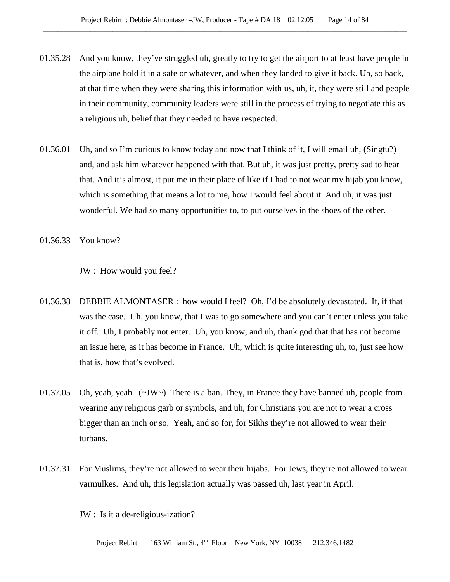- 01.35.28 And you know, they've struggled uh, greatly to try to get the airport to at least have people in the airplane hold it in a safe or whatever, and when they landed to give it back. Uh, so back, at that time when they were sharing this information with us, uh, it, they were still and people in their community, community leaders were still in the process of trying to negotiate this as a religious uh, belief that they needed to have respected.
- 01.36.01 Uh, and so I'm curious to know today and now that I think of it, I will email uh, (Singtu?) and, and ask him whatever happened with that. But uh, it was just pretty, pretty sad to hear that. And it's almost, it put me in their place of like if I had to not wear my hijab you know, which is something that means a lot to me, how I would feel about it. And uh, it was just wonderful. We had so many opportunities to, to put ourselves in the shoes of the other.
- 01.36.33 You know?

JW : How would you feel?

- 01.36.38 DEBBIE ALMONTASER : how would I feel? Oh, I'd be absolutely devastated. If, if that was the case. Uh, you know, that I was to go somewhere and you can't enter unless you take it off. Uh, I probably not enter. Uh, you know, and uh, thank god that that has not become an issue here, as it has become in France. Uh, which is quite interesting uh, to, just see how that is, how that's evolved.
- 01.37.05 Oh, yeah, yeah.  $(\sim JW)$  There is a ban. They, in France they have banned uh, people from wearing any religious garb or symbols, and uh, for Christians you are not to wear a cross bigger than an inch or so. Yeah, and so for, for Sikhs they're not allowed to wear their turbans.
- 01.37.31 For Muslims, they're not allowed to wear their hijabs. For Jews, they're not allowed to wear yarmulkes. And uh, this legislation actually was passed uh, last year in April.

JW : Is it a de-religious-ization?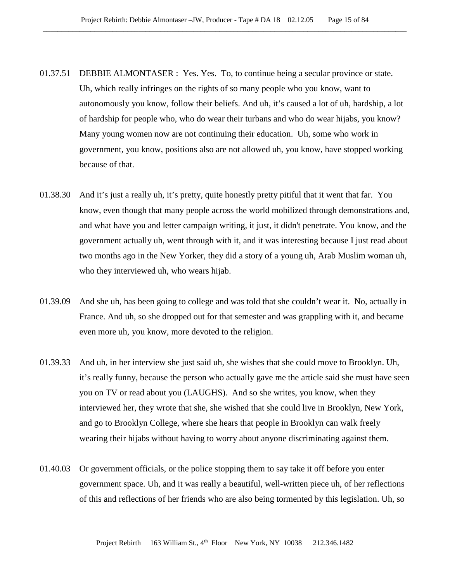- 01.37.51 DEBBIE ALMONTASER : Yes. Yes. To, to continue being a secular province or state. Uh, which really infringes on the rights of so many people who you know, want to autonomously you know, follow their beliefs. And uh, it's caused a lot of uh, hardship, a lot of hardship for people who, who do wear their turbans and who do wear hijabs, you know? Many young women now are not continuing their education. Uh, some who work in government, you know, positions also are not allowed uh, you know, have stopped working because of that.
- 01.38.30 And it's just a really uh, it's pretty, quite honestly pretty pitiful that it went that far. You know, even though that many people across the world mobilized through demonstrations and, and what have you and letter campaign writing, it just, it didn't penetrate. You know, and the government actually uh, went through with it, and it was interesting because I just read about two months ago in the New Yorker, they did a story of a young uh, Arab Muslim woman uh, who they interviewed uh, who wears hijab.
- 01.39.09 And she uh, has been going to college and was told that she couldn't wear it. No, actually in France. And uh, so she dropped out for that semester and was grappling with it, and became even more uh, you know, more devoted to the religion.
- 01.39.33 And uh, in her interview she just said uh, she wishes that she could move to Brooklyn. Uh, it's really funny, because the person who actually gave me the article said she must have seen you on TV or read about you (LAUGHS). And so she writes, you know, when they interviewed her, they wrote that she, she wished that she could live in Brooklyn, New York, and go to Brooklyn College, where she hears that people in Brooklyn can walk freely wearing their hijabs without having to worry about anyone discriminating against them.
- 01.40.03 Or government officials, or the police stopping them to say take it off before you enter government space. Uh, and it was really a beautiful, well-written piece uh, of her reflections of this and reflections of her friends who are also being tormented by this legislation. Uh, so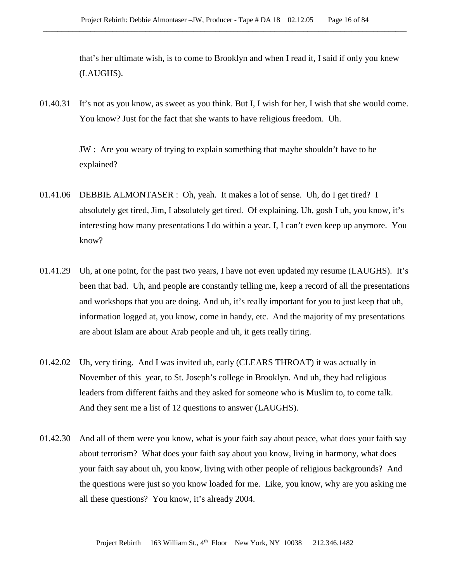that's her ultimate wish, is to come to Brooklyn and when I read it, I said if only you knew (LAUGHS).

01.40.31 It's not as you know, as sweet as you think. But I, I wish for her, I wish that she would come. You know? Just for the fact that she wants to have religious freedom. Uh.

> JW : Are you weary of trying to explain something that maybe shouldn't have to be explained?

- 01.41.06 DEBBIE ALMONTASER : Oh, yeah. It makes a lot of sense. Uh, do I get tired? I absolutely get tired, Jim, I absolutely get tired. Of explaining. Uh, gosh I uh, you know, it's interesting how many presentations I do within a year. I, I can't even keep up anymore. You know?
- 01.41.29 Uh, at one point, for the past two years, I have not even updated my resume (LAUGHS). It's been that bad. Uh, and people are constantly telling me, keep a record of all the presentations and workshops that you are doing. And uh, it's really important for you to just keep that uh, information logged at, you know, come in handy, etc. And the majority of my presentations are about Islam are about Arab people and uh, it gets really tiring.
- 01.42.02 Uh, very tiring. And I was invited uh, early (CLEARS THROAT) it was actually in November of this year, to St. Joseph's college in Brooklyn. And uh, they had religious leaders from different faiths and they asked for someone who is Muslim to, to come talk. And they sent me a list of 12 questions to answer (LAUGHS).
- 01.42.30 And all of them were you know, what is your faith say about peace, what does your faith say about terrorism? What does your faith say about you know, living in harmony, what does your faith say about uh, you know, living with other people of religious backgrounds? And the questions were just so you know loaded for me. Like, you know, why are you asking me all these questions? You know, it's already 2004.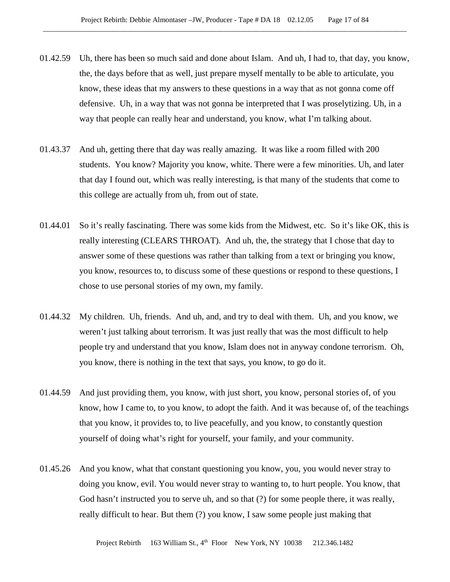- 01.42.59 Uh, there has been so much said and done about Islam. And uh, I had to, that day, you know, the, the days before that as well, just prepare myself mentally to be able to articulate, you know, these ideas that my answers to these questions in a way that as not gonna come off defensive. Uh, in a way that was not gonna be interpreted that I was proselytizing. Uh, in a way that people can really hear and understand, you know, what I'm talking about.
- 01.43.37 And uh, getting there that day was really amazing. It was like a room filled with 200 students. You know? Majority you know, white. There were a few minorities. Uh, and later that day I found out, which was really interesting, is that many of the students that come to this college are actually from uh, from out of state.
- 01.44.01 So it's really fascinating. There was some kids from the Midwest, etc. So it's like OK, this is really interesting (CLEARS THROAT). And uh, the, the strategy that I chose that day to answer some of these questions was rather than talking from a text or bringing you know, you know, resources to, to discuss some of these questions or respond to these questions, I chose to use personal stories of my own, my family.
- 01.44.32 My children. Uh, friends. And uh, and, and try to deal with them. Uh, and you know, we weren't just talking about terrorism. It was just really that was the most difficult to help people try and understand that you know, Islam does not in anyway condone terrorism. Oh, you know, there is nothing in the text that says, you know, to go do it.
- 01.44.59 And just providing them, you know, with just short, you know, personal stories of, of you know, how I came to, to you know, to adopt the faith. And it was because of, of the teachings that you know, it provides to, to live peacefully, and you know, to constantly question yourself of doing what's right for yourself, your family, and your community.
- 01.45.26 And you know, what that constant questioning you know, you, you would never stray to doing you know, evil. You would never stray to wanting to, to hurt people. You know, that God hasn't instructed you to serve uh, and so that (?) for some people there, it was really, really difficult to hear. But them (?) you know, I saw some people just making that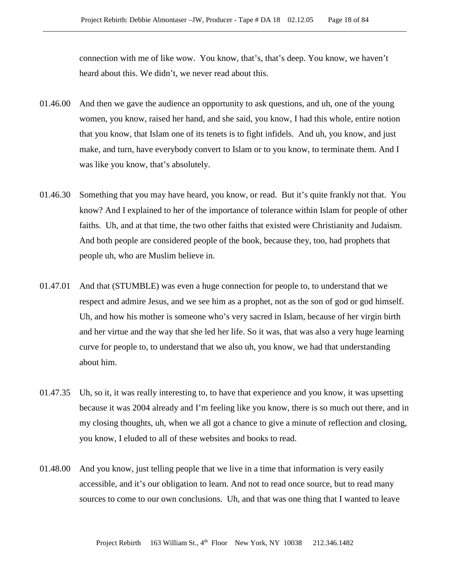connection with me of like wow. You know, that's, that's deep. You know, we haven't heard about this. We didn't, we never read about this.

- 01.46.00 And then we gave the audience an opportunity to ask questions, and uh, one of the young women, you know, raised her hand, and she said, you know, I had this whole, entire notion that you know, that Islam one of its tenets is to fight infidels. And uh, you know, and just make, and turn, have everybody convert to Islam or to you know, to terminate them. And I was like you know, that's absolutely.
- 01.46.30 Something that you may have heard, you know, or read. But it's quite frankly not that. You know? And I explained to her of the importance of tolerance within Islam for people of other faiths. Uh, and at that time, the two other faiths that existed were Christianity and Judaism. And both people are considered people of the book, because they, too, had prophets that people uh, who are Muslim believe in.
- 01.47.01 And that (STUMBLE) was even a huge connection for people to, to understand that we respect and admire Jesus, and we see him as a prophet, not as the son of god or god himself. Uh, and how his mother is someone who's very sacred in Islam, because of her virgin birth and her virtue and the way that she led her life. So it was, that was also a very huge learning curve for people to, to understand that we also uh, you know, we had that understanding about him.
- 01.47.35 Uh, so it, it was really interesting to, to have that experience and you know, it was upsetting because it was 2004 already and I'm feeling like you know, there is so much out there, and in my closing thoughts, uh, when we all got a chance to give a minute of reflection and closing, you know, I eluded to all of these websites and books to read.
- 01.48.00 And you know, just telling people that we live in a time that information is very easily accessible, and it's our obligation to learn. And not to read once source, but to read many sources to come to our own conclusions. Uh, and that was one thing that I wanted to leave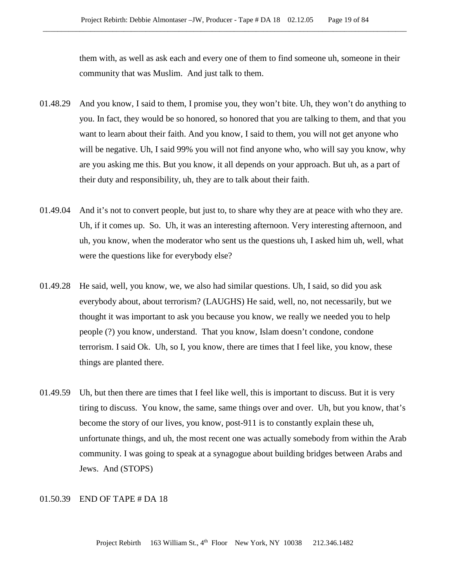them with, as well as ask each and every one of them to find someone uh, someone in their community that was Muslim. And just talk to them.

- 01.48.29 And you know, I said to them, I promise you, they won't bite. Uh, they won't do anything to you. In fact, they would be so honored, so honored that you are talking to them, and that you want to learn about their faith. And you know, I said to them, you will not get anyone who will be negative. Uh, I said 99% you will not find anyone who, who will say you know, why are you asking me this. But you know, it all depends on your approach. But uh, as a part of their duty and responsibility, uh, they are to talk about their faith.
- 01.49.04 And it's not to convert people, but just to, to share why they are at peace with who they are. Uh, if it comes up. So. Uh, it was an interesting afternoon. Very interesting afternoon, and uh, you know, when the moderator who sent us the questions uh, I asked him uh, well, what were the questions like for everybody else?
- 01.49.28 He said, well, you know, we, we also had similar questions. Uh, I said, so did you ask everybody about, about terrorism? (LAUGHS) He said, well, no, not necessarily, but we thought it was important to ask you because you know, we really we needed you to help people (?) you know, understand. That you know, Islam doesn't condone, condone terrorism. I said Ok. Uh, so I, you know, there are times that I feel like, you know, these things are planted there.
- 01.49.59 Uh, but then there are times that I feel like well, this is important to discuss. But it is very tiring to discuss. You know, the same, same things over and over. Uh, but you know, that's become the story of our lives, you know, post-911 is to constantly explain these uh, unfortunate things, and uh, the most recent one was actually somebody from within the Arab community. I was going to speak at a synagogue about building bridges between Arabs and Jews. And (STOPS)

## 01.50.39 END OF TAPE # DA 18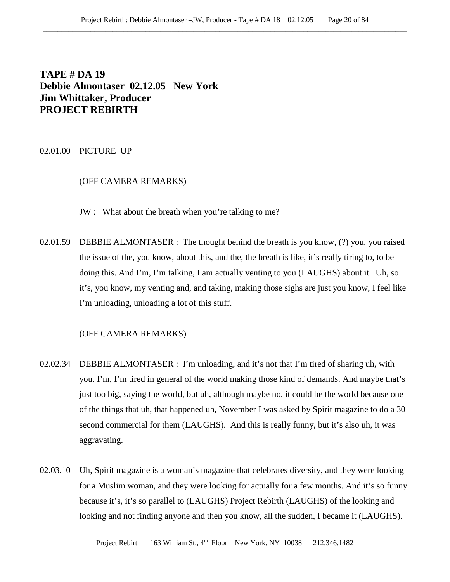**TAPE # DA 19 Debbie Almontaser 02.12.05 New York Jim Whittaker, Producer PROJECT REBIRTH**

02.01.00 PICTURE UP

# (OFF CAMERA REMARKS)

JW : What about the breath when you're talking to me?

02.01.59 DEBBIE ALMONTASER : The thought behind the breath is you know, (?) you, you raised the issue of the, you know, about this, and the, the breath is like, it's really tiring to, to be doing this. And I'm, I'm talking, I am actually venting to you (LAUGHS) about it. Uh, so it's, you know, my venting and, and taking, making those sighs are just you know, I feel like I'm unloading, unloading a lot of this stuff.

#### (OFF CAMERA REMARKS)

- 02.02.34 DEBBIE ALMONTASER : I'm unloading, and it's not that I'm tired of sharing uh, with you. I'm, I'm tired in general of the world making those kind of demands. And maybe that's just too big, saying the world, but uh, although maybe no, it could be the world because one of the things that uh, that happened uh, November I was asked by Spirit magazine to do a 30 second commercial for them (LAUGHS). And this is really funny, but it's also uh, it was aggravating.
- 02.03.10 Uh, Spirit magazine is a woman's magazine that celebrates diversity, and they were looking for a Muslim woman, and they were looking for actually for a few months. And it's so funny because it's, it's so parallel to (LAUGHS) Project Rebirth (LAUGHS) of the looking and looking and not finding anyone and then you know, all the sudden, I became it (LAUGHS).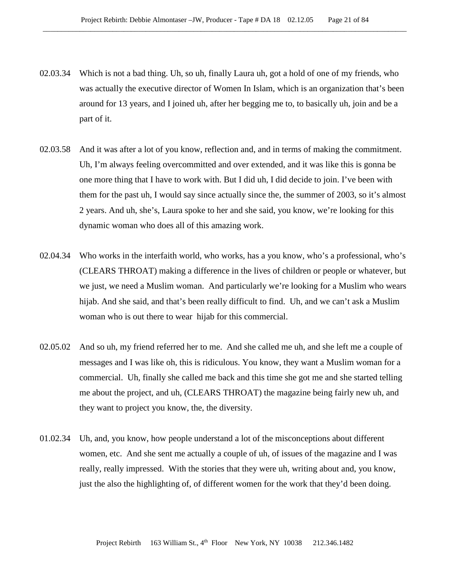- 02.03.34 Which is not a bad thing. Uh, so uh, finally Laura uh, got a hold of one of my friends, who was actually the executive director of Women In Islam, which is an organization that's been around for 13 years, and I joined uh, after her begging me to, to basically uh, join and be a part of it.
- 02.03.58 And it was after a lot of you know, reflection and, and in terms of making the commitment. Uh, I'm always feeling overcommitted and over extended, and it was like this is gonna be one more thing that I have to work with. But I did uh, I did decide to join. I've been with them for the past uh, I would say since actually since the, the summer of 2003, so it's almost 2 years. And uh, she's, Laura spoke to her and she said, you know, we're looking for this dynamic woman who does all of this amazing work.
- 02.04.34 Who works in the interfaith world, who works, has a you know, who's a professional, who's (CLEARS THROAT) making a difference in the lives of children or people or whatever, but we just, we need a Muslim woman. And particularly we're looking for a Muslim who wears hijab. And she said, and that's been really difficult to find. Uh, and we can't ask a Muslim woman who is out there to wear hijab for this commercial.
- 02.05.02 And so uh, my friend referred her to me. And she called me uh, and she left me a couple of messages and I was like oh, this is ridiculous. You know, they want a Muslim woman for a commercial. Uh, finally she called me back and this time she got me and she started telling me about the project, and uh, (CLEARS THROAT) the magazine being fairly new uh, and they want to project you know, the, the diversity.
- 01.02.34 Uh, and, you know, how people understand a lot of the misconceptions about different women, etc. And she sent me actually a couple of uh, of issues of the magazine and I was really, really impressed. With the stories that they were uh, writing about and, you know, just the also the highlighting of, of different women for the work that they'd been doing.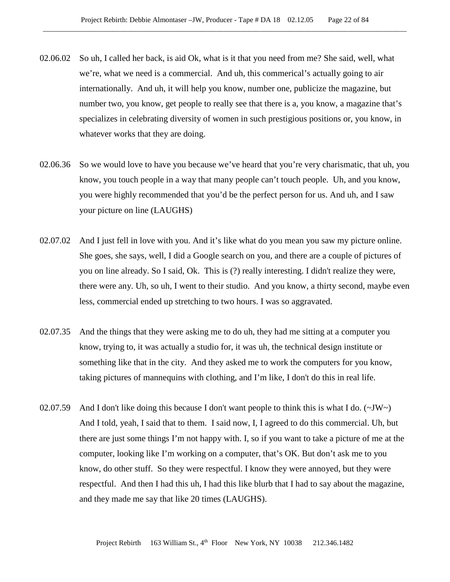- 02.06.02 So uh, I called her back, is aid Ok, what is it that you need from me? She said, well, what we're, what we need is a commercial. And uh, this commerical's actually going to air internationally. And uh, it will help you know, number one, publicize the magazine, but number two, you know, get people to really see that there is a, you know, a magazine that's specializes in celebrating diversity of women in such prestigious positions or, you know, in whatever works that they are doing.
- 02.06.36 So we would love to have you because we've heard that you're very charismatic, that uh, you know, you touch people in a way that many people can't touch people. Uh, and you know, you were highly recommended that you'd be the perfect person for us. And uh, and I saw your picture on line (LAUGHS)
- 02.07.02 And I just fell in love with you. And it's like what do you mean you saw my picture online. She goes, she says, well, I did a Google search on you, and there are a couple of pictures of you on line already. So I said, Ok. This is (?) really interesting. I didn't realize they were, there were any. Uh, so uh, I went to their studio. And you know, a thirty second, maybe even less, commercial ended up stretching to two hours. I was so aggravated.
- 02.07.35 And the things that they were asking me to do uh, they had me sitting at a computer you know, trying to, it was actually a studio for, it was uh, the technical design institute or something like that in the city. And they asked me to work the computers for you know, taking pictures of mannequins with clothing, and I'm like, I don't do this in real life.
- 02.07.59 And I don't like doing this because I don't want people to think this is what I do.  $(\sim JW)$ And I told, yeah, I said that to them. I said now, I, I agreed to do this commercial. Uh, but there are just some things I'm not happy with. I, so if you want to take a picture of me at the computer, looking like I'm working on a computer, that's OK. But don't ask me to you know, do other stuff. So they were respectful. I know they were annoyed, but they were respectful. And then I had this uh, I had this like blurb that I had to say about the magazine, and they made me say that like 20 times (LAUGHS).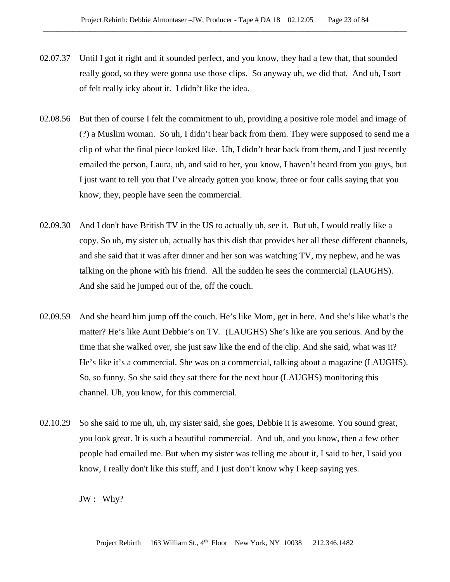- 02.07.37 Until I got it right and it sounded perfect, and you know, they had a few that, that sounded really good, so they were gonna use those clips. So anyway uh, we did that. And uh, I sort of felt really icky about it. I didn't like the idea.
- 02.08.56 But then of course I felt the commitment to uh, providing a positive role model and image of (?) a Muslim woman. So uh, I didn't hear back from them. They were supposed to send me a clip of what the final piece looked like. Uh, I didn't hear back from them, and I just recently emailed the person, Laura, uh, and said to her, you know, I haven't heard from you guys, but I just want to tell you that I've already gotten you know, three or four calls saying that you know, they, people have seen the commercial.
- 02.09.30 And I don't have British TV in the US to actually uh, see it. But uh, I would really like a copy. So uh, my sister uh, actually has this dish that provides her all these different channels, and she said that it was after dinner and her son was watching TV, my nephew, and he was talking on the phone with his friend. All the sudden he sees the commercial (LAUGHS). And she said he jumped out of the, off the couch.
- 02.09.59 And she heard him jump off the couch. He's like Mom, get in here. And she's like what's the matter? He's like Aunt Debbie's on TV. (LAUGHS) She's like are you serious. And by the time that she walked over, she just saw like the end of the clip. And she said, what was it? He's like it's a commercial. She was on a commercial, talking about a magazine (LAUGHS). So, so funny. So she said they sat there for the next hour (LAUGHS) monitoring this channel. Uh, you know, for this commercial.
- 02.10.29 So she said to me uh, uh, my sister said, she goes, Debbie it is awesome. You sound great, you look great. It is such a beautiful commercial. And uh, and you know, then a few other people had emailed me. But when my sister was telling me about it, I said to her, I said you know, I really don't like this stuff, and I just don't know why I keep saying yes.

JW : Why?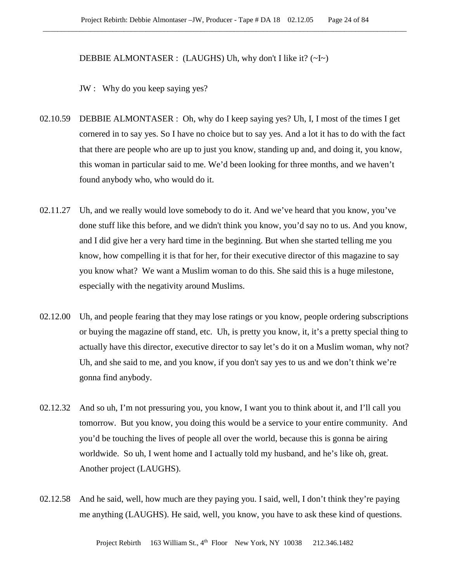#### DEBBIE ALMONTASER : (LAUGHS) Uh, why don't I like it? (~I~)

JW : Why do you keep saying yes?

- 02.10.59 DEBBIE ALMONTASER : Oh, why do I keep saying yes? Uh, I, I most of the times I get cornered in to say yes. So I have no choice but to say yes. And a lot it has to do with the fact that there are people who are up to just you know, standing up and, and doing it, you know, this woman in particular said to me. We'd been looking for three months, and we haven't found anybody who, who would do it.
- 02.11.27 Uh, and we really would love somebody to do it. And we've heard that you know, you've done stuff like this before, and we didn't think you know, you'd say no to us. And you know, and I did give her a very hard time in the beginning. But when she started telling me you know, how compelling it is that for her, for their executive director of this magazine to say you know what? We want a Muslim woman to do this. She said this is a huge milestone, especially with the negativity around Muslims.
- 02.12.00 Uh, and people fearing that they may lose ratings or you know, people ordering subscriptions or buying the magazine off stand, etc. Uh, is pretty you know, it, it's a pretty special thing to actually have this director, executive director to say let's do it on a Muslim woman, why not? Uh, and she said to me, and you know, if you don't say yes to us and we don't think we're gonna find anybody.
- 02.12.32 And so uh, I'm not pressuring you, you know, I want you to think about it, and I'll call you tomorrow. But you know, you doing this would be a service to your entire community. And you'd be touching the lives of people all over the world, because this is gonna be airing worldwide. So uh, I went home and I actually told my husband, and he's like oh, great. Another project (LAUGHS).
- 02.12.58 And he said, well, how much are they paying you. I said, well, I don't think they're paying me anything (LAUGHS). He said, well, you know, you have to ask these kind of questions.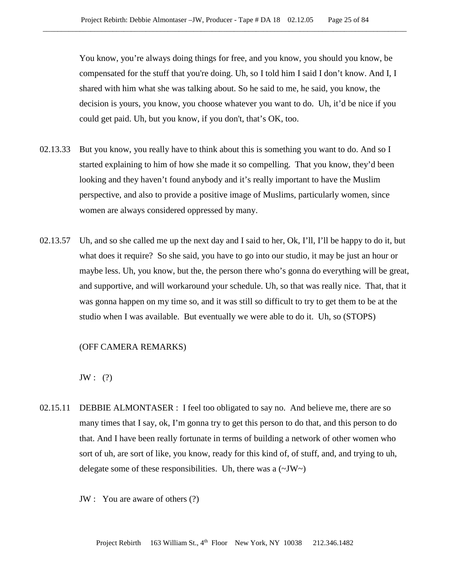You know, you're always doing things for free, and you know, you should you know, be compensated for the stuff that you're doing. Uh, so I told him I said I don't know. And I, I shared with him what she was talking about. So he said to me, he said, you know, the decision is yours, you know, you choose whatever you want to do. Uh, it'd be nice if you could get paid. Uh, but you know, if you don't, that's OK, too.

- 02.13.33 But you know, you really have to think about this is something you want to do. And so I started explaining to him of how she made it so compelling. That you know, they'd been looking and they haven't found anybody and it's really important to have the Muslim perspective, and also to provide a positive image of Muslims, particularly women, since women are always considered oppressed by many.
- 02.13.57 Uh, and so she called me up the next day and I said to her, Ok, I'll, I'll be happy to do it, but what does it require? So she said, you have to go into our studio, it may be just an hour or maybe less. Uh, you know, but the, the person there who's gonna do everything will be great, and supportive, and will workaround your schedule. Uh, so that was really nice. That, that it was gonna happen on my time so, and it was still so difficult to try to get them to be at the studio when I was available. But eventually we were able to do it. Uh, so (STOPS)

## (OFF CAMERA REMARKS)

 $JW:$  (?)

- 02.15.11 DEBBIE ALMONTASER : I feel too obligated to say no. And believe me, there are so many times that I say, ok, I'm gonna try to get this person to do that, and this person to do that. And I have been really fortunate in terms of building a network of other women who sort of uh, are sort of like, you know, ready for this kind of, of stuff, and, and trying to uh, delegate some of these responsibilities. Uh, there was a  $(\sim JW)$ 
	- JW : You are aware of others (?)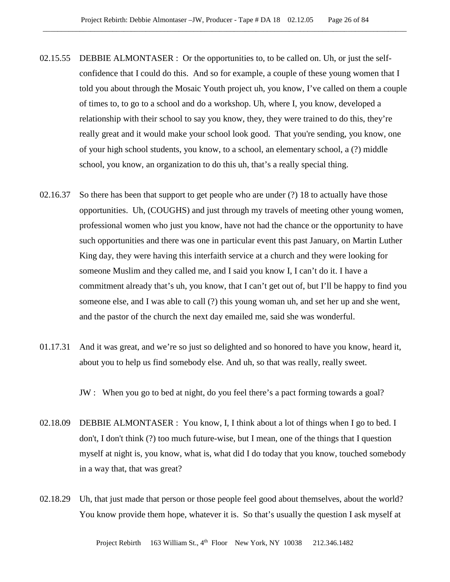- 02.15.55 DEBBIE ALMONTASER : Or the opportunities to, to be called on. Uh, or just the selfconfidence that I could do this. And so for example, a couple of these young women that I told you about through the Mosaic Youth project uh, you know, I've called on them a couple of times to, to go to a school and do a workshop. Uh, where I, you know, developed a relationship with their school to say you know, they, they were trained to do this, they're really great and it would make your school look good. That you're sending, you know, one of your high school students, you know, to a school, an elementary school, a (?) middle school, you know, an organization to do this uh, that's a really special thing.
- 02.16.37 So there has been that support to get people who are under (?) 18 to actually have those opportunities. Uh, (COUGHS) and just through my travels of meeting other young women, professional women who just you know, have not had the chance or the opportunity to have such opportunities and there was one in particular event this past January, on Martin Luther King day, they were having this interfaith service at a church and they were looking for someone Muslim and they called me, and I said you know I, I can't do it. I have a commitment already that's uh, you know, that I can't get out of, but I'll be happy to find you someone else, and I was able to call (?) this young woman uh, and set her up and she went, and the pastor of the church the next day emailed me, said she was wonderful.
- 01.17.31 And it was great, and we're so just so delighted and so honored to have you know, heard it, about you to help us find somebody else. And uh, so that was really, really sweet.

JW : When you go to bed at night, do you feel there's a pact forming towards a goal?

- 02.18.09 DEBBIE ALMONTASER : You know, I, I think about a lot of things when I go to bed. I don't, I don't think (?) too much future-wise, but I mean, one of the things that I question myself at night is, you know, what is, what did I do today that you know, touched somebody in a way that, that was great?
- 02.18.29 Uh, that just made that person or those people feel good about themselves, about the world? You know provide them hope, whatever it is. So that's usually the question I ask myself at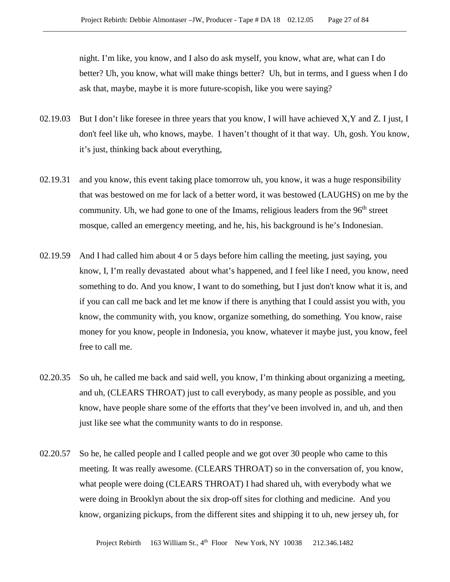night. I'm like, you know, and I also do ask myself, you know, what are, what can I do better? Uh, you know, what will make things better? Uh, but in terms, and I guess when I do ask that, maybe, maybe it is more future-scopish, like you were saying?

- 02.19.03 But I don't like foresee in three years that you know, I will have achieved X, Y and Z. I just, I don't feel like uh, who knows, maybe. I haven't thought of it that way. Uh, gosh. You know, it's just, thinking back about everything,
- 02.19.31 and you know, this event taking place tomorrow uh, you know, it was a huge responsibility that was bestowed on me for lack of a better word, it was bestowed (LAUGHS) on me by the community. Uh, we had gone to one of the Imams, religious leaders from the 96<sup>th</sup> street mosque, called an emergency meeting, and he, his, his background is he's Indonesian.
- 02.19.59 And I had called him about 4 or 5 days before him calling the meeting, just saying, you know, I, I'm really devastated about what's happened, and I feel like I need, you know, need something to do. And you know, I want to do something, but I just don't know what it is, and if you can call me back and let me know if there is anything that I could assist you with, you know, the community with, you know, organize something, do something. You know, raise money for you know, people in Indonesia, you know, whatever it maybe just, you know, feel free to call me.
- 02.20.35 So uh, he called me back and said well, you know, I'm thinking about organizing a meeting, and uh, (CLEARS THROAT) just to call everybody, as many people as possible, and you know, have people share some of the efforts that they've been involved in, and uh, and then just like see what the community wants to do in response.
- 02.20.57 So he, he called people and I called people and we got over 30 people who came to this meeting. It was really awesome. (CLEARS THROAT) so in the conversation of, you know, what people were doing (CLEARS THROAT) I had shared uh, with everybody what we were doing in Brooklyn about the six drop-off sites for clothing and medicine. And you know, organizing pickups, from the different sites and shipping it to uh, new jersey uh, for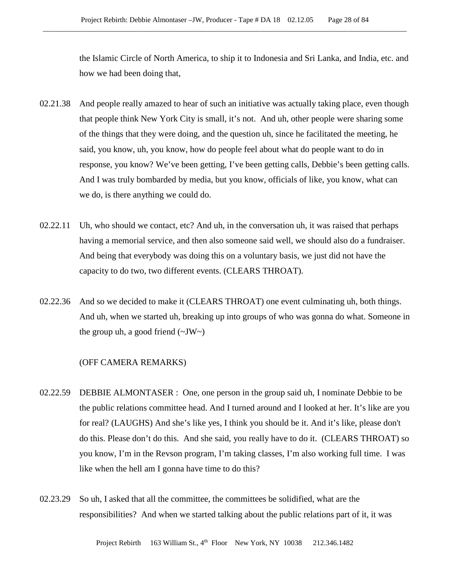the Islamic Circle of North America, to ship it to Indonesia and Sri Lanka, and India, etc. and how we had been doing that,

- 02.21.38 And people really amazed to hear of such an initiative was actually taking place, even though that people think New York City is small, it's not. And uh, other people were sharing some of the things that they were doing, and the question uh, since he facilitated the meeting, he said, you know, uh, you know, how do people feel about what do people want to do in response, you know? We've been getting, I've been getting calls, Debbie's been getting calls. And I was truly bombarded by media, but you know, officials of like, you know, what can we do, is there anything we could do.
- 02.22.11 Uh, who should we contact, etc? And uh, in the conversation uh, it was raised that perhaps having a memorial service, and then also someone said well, we should also do a fundraiser. And being that everybody was doing this on a voluntary basis, we just did not have the capacity to do two, two different events. (CLEARS THROAT).
- 02.22.36 And so we decided to make it (CLEARS THROAT) one event culminating uh, both things. And uh, when we started uh, breaking up into groups of who was gonna do what. Someone in the group uh, a good friend  $(\sim JW \sim)$

#### (OFF CAMERA REMARKS)

- 02.22.59 DEBBIE ALMONTASER : One, one person in the group said uh, I nominate Debbie to be the public relations committee head. And I turned around and I looked at her. It's like are you for real? (LAUGHS) And she's like yes, I think you should be it. And it's like, please don't do this. Please don't do this. And she said, you really have to do it. (CLEARS THROAT) so you know, I'm in the Revson program, I'm taking classes, I'm also working full time. I was like when the hell am I gonna have time to do this?
- 02.23.29 So uh, I asked that all the committee, the committees be solidified, what are the responsibilities? And when we started talking about the public relations part of it, it was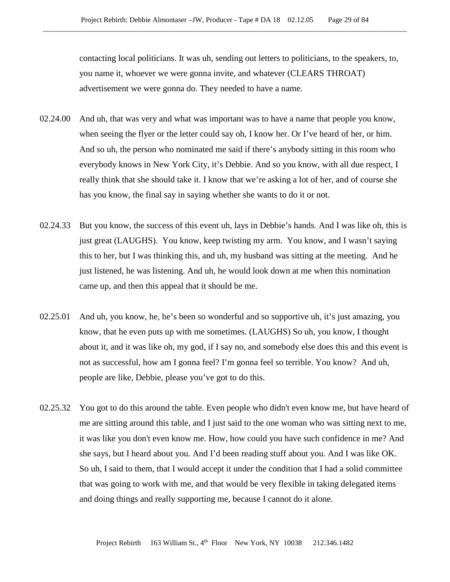contacting local politicians. It was uh, sending out letters to politicians, to the speakers, to, you name it, whoever we were gonna invite, and whatever (CLEARS THROAT) advertisement we were gonna do. They needed to have a name.

- 02.24.00 And uh, that was very and what was important was to have a name that people you know, when seeing the flyer or the letter could say oh, I know her. Or I've heard of her, or him. And so uh, the person who nominated me said if there's anybody sitting in this room who everybody knows in New York City, it's Debbie. And so you know, with all due respect, I really think that she should take it. I know that we're asking a lot of her, and of course she has you know, the final say in saying whether she wants to do it or not.
- 02.24.33 But you know, the success of this event uh, lays in Debbie's hands. And I was like oh, this is just great (LAUGHS). You know, keep twisting my arm. You know, and I wasn't saying this to her, but I was thinking this, and uh, my husband was sitting at the meeting. And he just listened, he was listening. And uh, he would look down at me when this nomination came up, and then this appeal that it should be me.
- 02.25.01 And uh, you know, he, he's been so wonderful and so supportive uh, it's just amazing, you know, that he even puts up with me sometimes. (LAUGHS) So uh, you know, I thought about it, and it was like oh, my god, if I say no, and somebody else does this and this event is not as successful, how am I gonna feel? I'm gonna feel so terrible. You know? And uh, people are like, Debbie, please you've got to do this.
- 02.25.32 You got to do this around the table. Even people who didn't even know me, but have heard of me are sitting around this table, and I just said to the one woman who was sitting next to me, it was like you don't even know me. How, how could you have such confidence in me? And she says, but I heard about you. And I'd been reading stuff about you. And I was like OK. So uh, I said to them, that I would accept it under the condition that I had a solid committee that was going to work with me, and that would be very flexible in taking delegated items and doing things and really supporting me, because I cannot do it alone.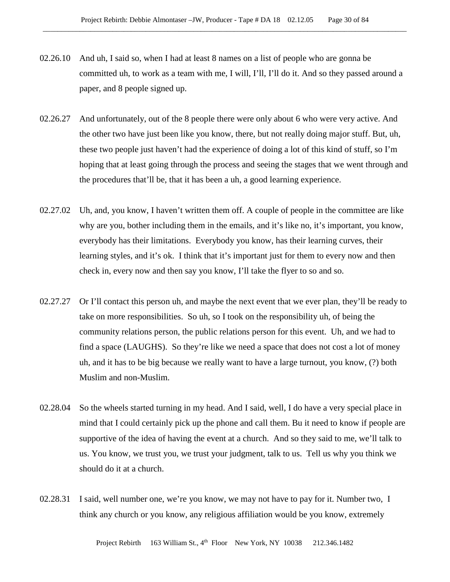- 02.26.10 And uh, I said so, when I had at least 8 names on a list of people who are gonna be committed uh, to work as a team with me, I will, I'll, I'll do it. And so they passed around a paper, and 8 people signed up.
- 02.26.27 And unfortunately, out of the 8 people there were only about 6 who were very active. And the other two have just been like you know, there, but not really doing major stuff. But, uh, these two people just haven't had the experience of doing a lot of this kind of stuff, so I'm hoping that at least going through the process and seeing the stages that we went through and the procedures that'll be, that it has been a uh, a good learning experience.
- 02.27.02 Uh, and, you know, I haven't written them off. A couple of people in the committee are like why are you, bother including them in the emails, and it's like no, it's important, you know, everybody has their limitations. Everybody you know, has their learning curves, their learning styles, and it's ok. I think that it's important just for them to every now and then check in, every now and then say you know, I'll take the flyer to so and so.
- 02.27.27 Or I'll contact this person uh, and maybe the next event that we ever plan, they'll be ready to take on more responsibilities. So uh, so I took on the responsibility uh, of being the community relations person, the public relations person for this event. Uh, and we had to find a space (LAUGHS). So they're like we need a space that does not cost a lot of money uh, and it has to be big because we really want to have a large turnout, you know, (?) both Muslim and non-Muslim.
- 02.28.04 So the wheels started turning in my head. And I said, well, I do have a very special place in mind that I could certainly pick up the phone and call them. Bu it need to know if people are supportive of the idea of having the event at a church. And so they said to me, we'll talk to us. You know, we trust you, we trust your judgment, talk to us. Tell us why you think we should do it at a church.
- 02.28.31 I said, well number one, we're you know, we may not have to pay for it. Number two, I think any church or you know, any religious affiliation would be you know, extremely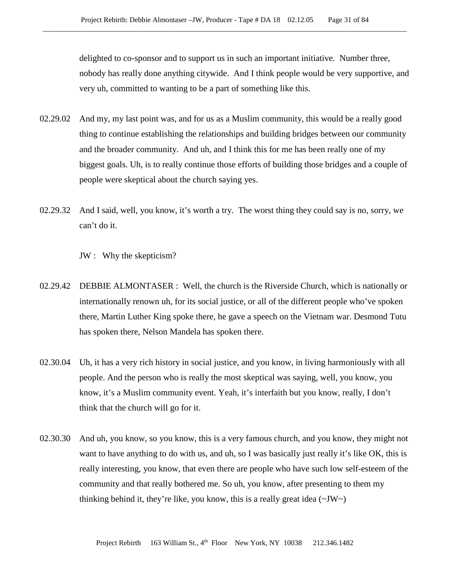delighted to co-sponsor and to support us in such an important initiative. Number three, nobody has really done anything citywide. And I think people would be very supportive, and very uh, committed to wanting to be a part of something like this.

- 02.29.02 And my, my last point was, and for us as a Muslim community, this would be a really good thing to continue establishing the relationships and building bridges between our community and the broader community. And uh, and I think this for me has been really one of my biggest goals. Uh, is to really continue those efforts of building those bridges and a couple of people were skeptical about the church saying yes.
- 02.29.32 And I said, well, you know, it's worth a try. The worst thing they could say is no, sorry, we can't do it.

JW : Why the skepticism?

- 02.29.42 DEBBIE ALMONTASER : Well, the church is the Riverside Church, which is nationally or internationally renown uh, for its social justice, or all of the different people who've spoken there, Martin Luther King spoke there, he gave a speech on the Vietnam war. Desmond Tutu has spoken there, Nelson Mandela has spoken there.
- 02.30.04 Uh, it has a very rich history in social justice, and you know, in living harmoniously with all people. And the person who is really the most skeptical was saying, well, you know, you know, it's a Muslim community event. Yeah, it's interfaith but you know, really, I don't think that the church will go for it.
- 02.30.30 And uh, you know, so you know, this is a very famous church, and you know, they might not want to have anything to do with us, and uh, so I was basically just really it's like OK, this is really interesting, you know, that even there are people who have such low self-esteem of the community and that really bothered me. So uh, you know, after presenting to them my thinking behind it, they're like, you know, this is a really great idea  $(\sim JW)$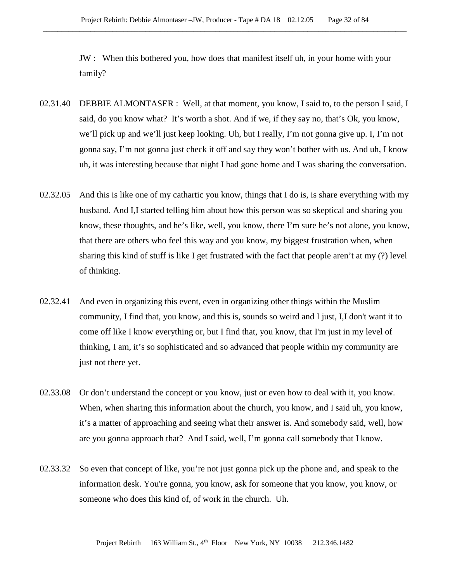JW : When this bothered you, how does that manifest itself uh, in your home with your family?

- 02.31.40 DEBBIE ALMONTASER : Well, at that moment, you know, I said to, to the person I said, I said, do you know what? It's worth a shot. And if we, if they say no, that's Ok, you know, we'll pick up and we'll just keep looking. Uh, but I really, I'm not gonna give up. I, I'm not gonna say, I'm not gonna just check it off and say they won't bother with us. And uh, I know uh, it was interesting because that night I had gone home and I was sharing the conversation.
- 02.32.05 And this is like one of my cathartic you know, things that I do is, is share everything with my husband. And I,I started telling him about how this person was so skeptical and sharing you know, these thoughts, and he's like, well, you know, there I'm sure he's not alone, you know, that there are others who feel this way and you know, my biggest frustration when, when sharing this kind of stuff is like I get frustrated with the fact that people aren't at my (?) level of thinking.
- 02.32.41 And even in organizing this event, even in organizing other things within the Muslim community, I find that, you know, and this is, sounds so weird and I just, I,I don't want it to come off like I know everything or, but I find that, you know, that I'm just in my level of thinking, I am, it's so sophisticated and so advanced that people within my community are just not there yet.
- 02.33.08 Or don't understand the concept or you know, just or even how to deal with it, you know. When, when sharing this information about the church, you know, and I said uh, you know, it's a matter of approaching and seeing what their answer is. And somebody said, well, how are you gonna approach that? And I said, well, I'm gonna call somebody that I know.
- 02.33.32 So even that concept of like, you're not just gonna pick up the phone and, and speak to the information desk. You're gonna, you know, ask for someone that you know, you know, or someone who does this kind of, of work in the church. Uh.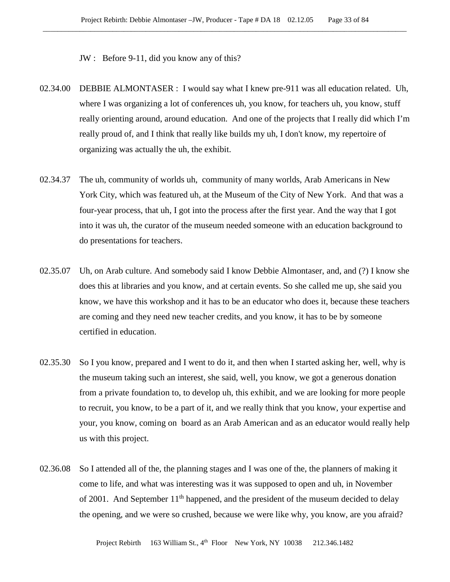JW : Before 9-11, did you know any of this?

- 02.34.00 DEBBIE ALMONTASER : I would say what I knew pre-911 was all education related. Uh, where I was organizing a lot of conferences uh, you know, for teachers uh, you know, stuff really orienting around, around education. And one of the projects that I really did which I'm really proud of, and I think that really like builds my uh, I don't know, my repertoire of organizing was actually the uh, the exhibit.
- 02.34.37 The uh, community of worlds uh, community of many worlds, Arab Americans in New York City, which was featured uh, at the Museum of the City of New York. And that was a four-year process, that uh, I got into the process after the first year. And the way that I got into it was uh, the curator of the museum needed someone with an education background to do presentations for teachers.
- 02.35.07 Uh, on Arab culture. And somebody said I know Debbie Almontaser, and, and (?) I know she does this at libraries and you know, and at certain events. So she called me up, she said you know, we have this workshop and it has to be an educator who does it, because these teachers are coming and they need new teacher credits, and you know, it has to be by someone certified in education.
- 02.35.30 So I you know, prepared and I went to do it, and then when I started asking her, well, why is the museum taking such an interest, she said, well, you know, we got a generous donation from a private foundation to, to develop uh, this exhibit, and we are looking for more people to recruit, you know, to be a part of it, and we really think that you know, your expertise and your, you know, coming on board as an Arab American and as an educator would really help us with this project.
- 02.36.08 So I attended all of the, the planning stages and I was one of the, the planners of making it come to life, and what was interesting was it was supposed to open and uh, in November of 2001. And September  $11<sup>th</sup>$  happened, and the president of the museum decided to delay the opening, and we were so crushed, because we were like why, you know, are you afraid?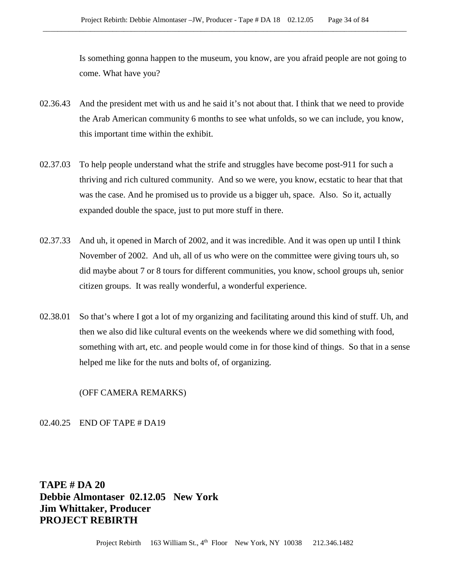Is something gonna happen to the museum, you know, are you afraid people are not going to come. What have you?

- 02.36.43 And the president met with us and he said it's not about that. I think that we need to provide the Arab American community 6 months to see what unfolds, so we can include, you know, this important time within the exhibit.
- 02.37.03 To help people understand what the strife and struggles have become post-911 for such a thriving and rich cultured community. And so we were, you know, ecstatic to hear that that was the case. And he promised us to provide us a bigger uh, space. Also. So it, actually expanded double the space, just to put more stuff in there.
- 02.37.33 And uh, it opened in March of 2002, and it was incredible. And it was open up until I think November of 2002. And uh, all of us who were on the committee were giving tours uh, so did maybe about 7 or 8 tours for different communities, you know, school groups uh, senior citizen groups. It was really wonderful, a wonderful experience.
- 02.38.01 So that's where I got a lot of my organizing and facilitating around this kind of stuff. Uh, and then we also did like cultural events on the weekends where we did something with food, something with art, etc. and people would come in for those kind of things. So that in a sense helped me like for the nuts and bolts of, of organizing.

(OFF CAMERA REMARKS)

02.40.25 END OF TAPE # DA19

**TAPE # DA 20 Debbie Almontaser 02.12.05 New York Jim Whittaker, Producer PROJECT REBIRTH**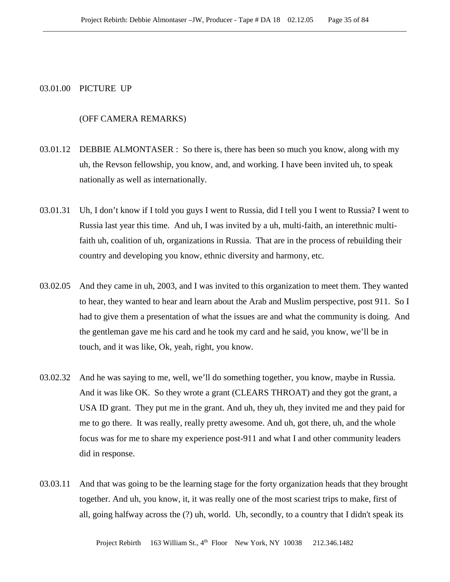## 03.01.00 PICTURE UP

# (OFF CAMERA REMARKS)

- 03.01.12 DEBBIE ALMONTASER : So there is, there has been so much you know, along with my uh, the Revson fellowship, you know, and, and working. I have been invited uh, to speak nationally as well as internationally.
- 03.01.31 Uh, I don't know if I told you guys I went to Russia, did I tell you I went to Russia? I went to Russia last year this time. And uh, I was invited by a uh, multi-faith, an interethnic multifaith uh, coalition of uh, organizations in Russia. That are in the process of rebuilding their country and developing you know, ethnic diversity and harmony, etc.
- 03.02.05 And they came in uh, 2003, and I was invited to this organization to meet them. They wanted to hear, they wanted to hear and learn about the Arab and Muslim perspective, post 911. So I had to give them a presentation of what the issues are and what the community is doing. And the gentleman gave me his card and he took my card and he said, you know, we'll be in touch, and it was like, Ok, yeah, right, you know.
- 03.02.32 And he was saying to me, well, we'll do something together, you know, maybe in Russia. And it was like OK. So they wrote a grant (CLEARS THROAT) and they got the grant, a USA ID grant. They put me in the grant. And uh, they uh, they invited me and they paid for me to go there. It was really, really pretty awesome. And uh, got there, uh, and the whole focus was for me to share my experience post-911 and what I and other community leaders did in response.
- 03.03.11 And that was going to be the learning stage for the forty organization heads that they brought together. And uh, you know, it, it was really one of the most scariest trips to make, first of all, going halfway across the (?) uh, world. Uh, secondly, to a country that I didn't speak its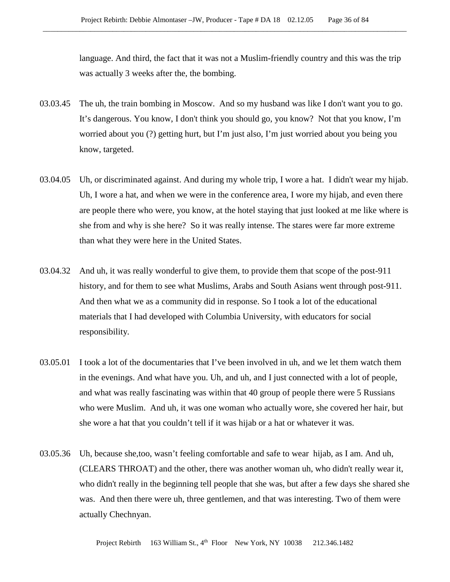language. And third, the fact that it was not a Muslim-friendly country and this was the trip was actually 3 weeks after the, the bombing.

- 03.03.45 The uh, the train bombing in Moscow. And so my husband was like I don't want you to go. It's dangerous. You know, I don't think you should go, you know? Not that you know, I'm worried about you (?) getting hurt, but I'm just also, I'm just worried about you being you know, targeted.
- 03.04.05 Uh, or discriminated against. And during my whole trip, I wore a hat. I didn't wear my hijab. Uh, I wore a hat, and when we were in the conference area, I wore my hijab, and even there are people there who were, you know, at the hotel staying that just looked at me like where is she from and why is she here? So it was really intense. The stares were far more extreme than what they were here in the United States.
- 03.04.32 And uh, it was really wonderful to give them, to provide them that scope of the post-911 history, and for them to see what Muslims, Arabs and South Asians went through post-911. And then what we as a community did in response. So I took a lot of the educational materials that I had developed with Columbia University, with educators for social responsibility.
- 03.05.01 I took a lot of the documentaries that I've been involved in uh, and we let them watch them in the evenings. And what have you. Uh, and uh, and I just connected with a lot of people, and what was really fascinating was within that 40 group of people there were 5 Russians who were Muslim. And uh, it was one woman who actually wore, she covered her hair, but she wore a hat that you couldn't tell if it was hijab or a hat or whatever it was.
- 03.05.36 Uh, because she,too, wasn't feeling comfortable and safe to wear hijab, as I am. And uh, (CLEARS THROAT) and the other, there was another woman uh, who didn't really wear it, who didn't really in the beginning tell people that she was, but after a few days she shared she was. And then there were uh, three gentlemen, and that was interesting. Two of them were actually Chechnyan.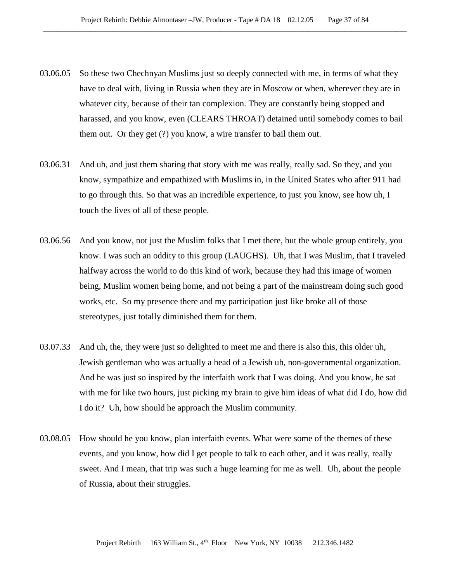- 03.06.05 So these two Chechnyan Muslims just so deeply connected with me, in terms of what they have to deal with, living in Russia when they are in Moscow or when, wherever they are in whatever city, because of their tan complexion. They are constantly being stopped and harassed, and you know, even (CLEARS THROAT) detained until somebody comes to bail them out. Or they get (?) you know, a wire transfer to bail them out.
- 03.06.31 And uh, and just them sharing that story with me was really, really sad. So they, and you know, sympathize and empathized with Muslims in, in the United States who after 911 had to go through this. So that was an incredible experience, to just you know, see how uh, I touch the lives of all of these people.
- 03.06.56 And you know, not just the Muslim folks that I met there, but the whole group entirely, you know. I was such an oddity to this group (LAUGHS). Uh, that I was Muslim, that I traveled halfway across the world to do this kind of work, because they had this image of women being, Muslim women being home, and not being a part of the mainstream doing such good works, etc. So my presence there and my participation just like broke all of those stereotypes, just totally diminished them for them.
- 03.07.33 And uh, the, they were just so delighted to meet me and there is also this, this older uh, Jewish gentleman who was actually a head of a Jewish uh, non-governmental organization. And he was just so inspired by the interfaith work that I was doing. And you know, he sat with me for like two hours, just picking my brain to give him ideas of what did I do, how did I do it? Uh, how should he approach the Muslim community.
- 03.08.05 How should he you know, plan interfaith events. What were some of the themes of these events, and you know, how did I get people to talk to each other, and it was really, really sweet. And I mean, that trip was such a huge learning for me as well. Uh, about the people of Russia, about their struggles.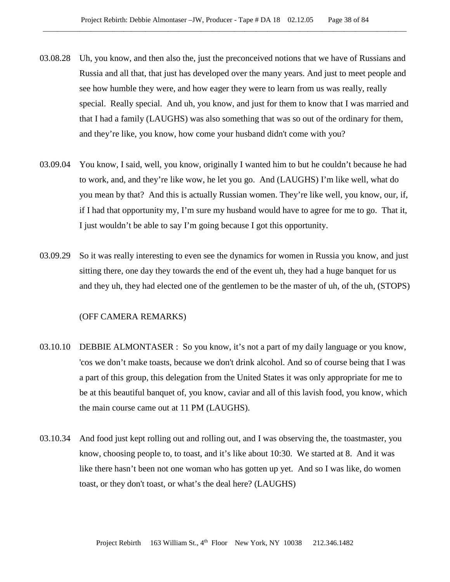- 03.08.28 Uh, you know, and then also the, just the preconceived notions that we have of Russians and Russia and all that, that just has developed over the many years. And just to meet people and see how humble they were, and how eager they were to learn from us was really, really special. Really special. And uh, you know, and just for them to know that I was married and that I had a family (LAUGHS) was also something that was so out of the ordinary for them, and they're like, you know, how come your husband didn't come with you?
- 03.09.04 You know, I said, well, you know, originally I wanted him to but he couldn't because he had to work, and, and they're like wow, he let you go. And (LAUGHS) I'm like well, what do you mean by that? And this is actually Russian women. They're like well, you know, our, if, if I had that opportunity my, I'm sure my husband would have to agree for me to go. That it, I just wouldn't be able to say I'm going because I got this opportunity.
- 03.09.29 So it was really interesting to even see the dynamics for women in Russia you know, and just sitting there, one day they towards the end of the event uh, they had a huge banquet for us and they uh, they had elected one of the gentlemen to be the master of uh, of the uh, (STOPS)

## (OFF CAMERA REMARKS)

- 03.10.10 DEBBIE ALMONTASER : So you know, it's not a part of my daily language or you know, 'cos we don't make toasts, because we don't drink alcohol. And so of course being that I was a part of this group, this delegation from the United States it was only appropriate for me to be at this beautiful banquet of, you know, caviar and all of this lavish food, you know, which the main course came out at 11 PM (LAUGHS).
- 03.10.34 And food just kept rolling out and rolling out, and I was observing the, the toastmaster, you know, choosing people to, to toast, and it's like about 10:30. We started at 8. And it was like there hasn't been not one woman who has gotten up yet. And so I was like, do women toast, or they don't toast, or what's the deal here? (LAUGHS)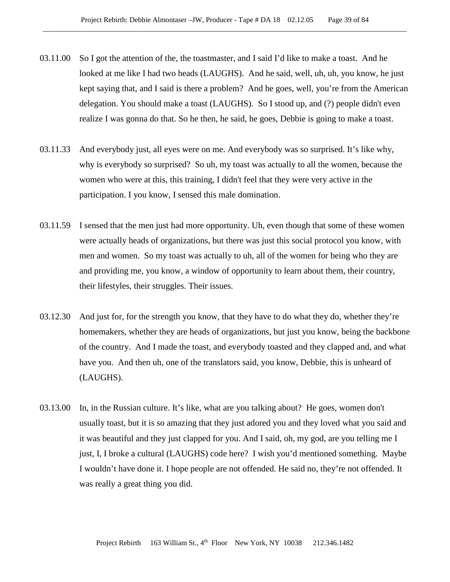- 03.11.00 So I got the attention of the, the toastmaster, and I said I'd like to make a toast. And he looked at me like I had two heads (LAUGHS). And he said, well, uh, uh, you know, he just kept saying that, and I said is there a problem? And he goes, well, you're from the American delegation. You should make a toast (LAUGHS). So I stood up, and (?) people didn't even realize I was gonna do that. So he then, he said, he goes, Debbie is going to make a toast.
- 03.11.33 And everybody just, all eyes were on me. And everybody was so surprised. It's like why, why is everybody so surprised? So uh, my toast was actually to all the women, because the women who were at this, this training, I didn't feel that they were very active in the participation. I you know, I sensed this male domination.
- 03.11.59 I sensed that the men just had more opportunity. Uh, even though that some of these women were actually heads of organizations, but there was just this social protocol you know, with men and women. So my toast was actually to uh, all of the women for being who they are and providing me, you know, a window of opportunity to learn about them, their country, their lifestyles, their struggles. Their issues.
- 03.12.30 And just for, for the strength you know, that they have to do what they do, whether they're homemakers, whether they are heads of organizations, but just you know, being the backbone of the country. And I made the toast, and everybody toasted and they clapped and, and what have you. And then uh, one of the translators said, you know, Debbie, this is unheard of (LAUGHS).
- 03.13.00 In, in the Russian culture. It's like, what are you talking about? He goes, women don't usually toast, but it is so amazing that they just adored you and they loved what you said and it was beautiful and they just clapped for you. And I said, oh, my god, are you telling me I just, I, I broke a cultural (LAUGHS) code here? I wish you'd mentioned something. Maybe I wouldn't have done it. I hope people are not offended. He said no, they're not offended. It was really a great thing you did.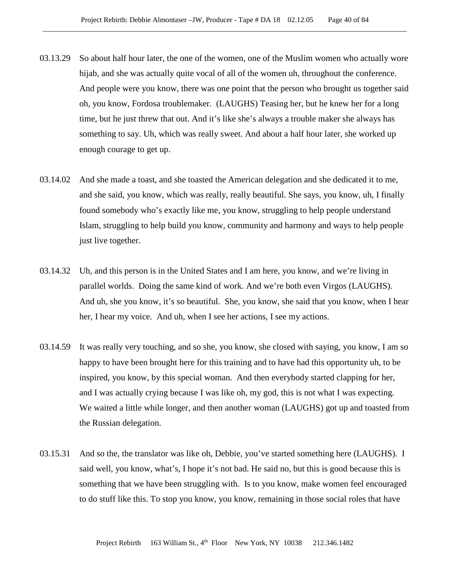- 03.13.29 So about half hour later, the one of the women, one of the Muslim women who actually wore hijab, and she was actually quite vocal of all of the women uh, throughout the conference. And people were you know, there was one point that the person who brought us together said oh, you know, Fordosa troublemaker. (LAUGHS) Teasing her, but he knew her for a long time, but he just threw that out. And it's like she's always a trouble maker she always has something to say. Uh, which was really sweet. And about a half hour later, she worked up enough courage to get up.
- 03.14.02 And she made a toast, and she toasted the American delegation and she dedicated it to me, and she said, you know, which was really, really beautiful. She says, you know, uh, I finally found somebody who's exactly like me, you know, struggling to help people understand Islam, struggling to help build you know, community and harmony and ways to help people just live together.
- 03.14.32 Uh, and this person is in the United States and I am here, you know, and we're living in parallel worlds. Doing the same kind of work. And we're both even Virgos (LAUGHS). And uh, she you know, it's so beautiful. She, you know, she said that you know, when I hear her, I hear my voice. And uh, when I see her actions, I see my actions.
- 03.14.59 It was really very touching, and so she, you know, she closed with saying, you know, I am so happy to have been brought here for this training and to have had this opportunity uh, to be inspired, you know, by this special woman. And then everybody started clapping for her, and I was actually crying because I was like oh, my god, this is not what I was expecting. We waited a little while longer, and then another woman (LAUGHS) got up and toasted from the Russian delegation.
- 03.15.31 And so the, the translator was like oh, Debbie, you've started something here (LAUGHS). I said well, you know, what's, I hope it's not bad. He said no, but this is good because this is something that we have been struggling with. Is to you know, make women feel encouraged to do stuff like this. To stop you know, you know, remaining in those social roles that have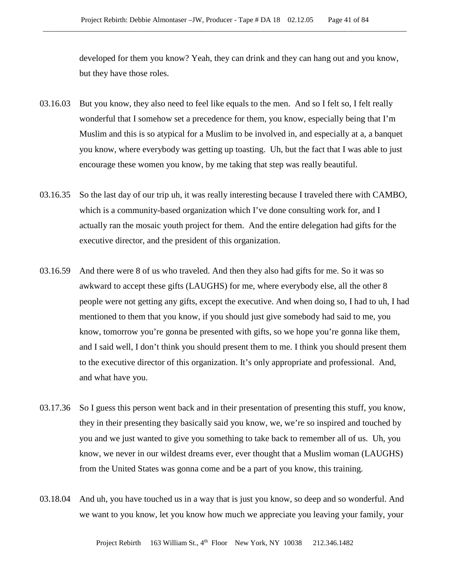developed for them you know? Yeah, they can drink and they can hang out and you know, but they have those roles.

- 03.16.03 But you know, they also need to feel like equals to the men. And so I felt so, I felt really wonderful that I somehow set a precedence for them, you know, especially being that I'm Muslim and this is so atypical for a Muslim to be involved in, and especially at a, a banquet you know, where everybody was getting up toasting. Uh, but the fact that I was able to just encourage these women you know, by me taking that step was really beautiful.
- 03.16.35 So the last day of our trip uh, it was really interesting because I traveled there with CAMBO, which is a community-based organization which I've done consulting work for, and I actually ran the mosaic youth project for them. And the entire delegation had gifts for the executive director, and the president of this organization.
- 03.16.59 And there were 8 of us who traveled. And then they also had gifts for me. So it was so awkward to accept these gifts (LAUGHS) for me, where everybody else, all the other 8 people were not getting any gifts, except the executive. And when doing so, I had to uh, I had mentioned to them that you know, if you should just give somebody had said to me, you know, tomorrow you're gonna be presented with gifts, so we hope you're gonna like them, and I said well, I don't think you should present them to me. I think you should present them to the executive director of this organization. It's only appropriate and professional. And, and what have you.
- 03.17.36 So I guess this person went back and in their presentation of presenting this stuff, you know, they in their presenting they basically said you know, we, we're so inspired and touched by you and we just wanted to give you something to take back to remember all of us. Uh, you know, we never in our wildest dreams ever, ever thought that a Muslim woman (LAUGHS) from the United States was gonna come and be a part of you know, this training.
- 03.18.04 And uh, you have touched us in a way that is just you know, so deep and so wonderful. And we want to you know, let you know how much we appreciate you leaving your family, your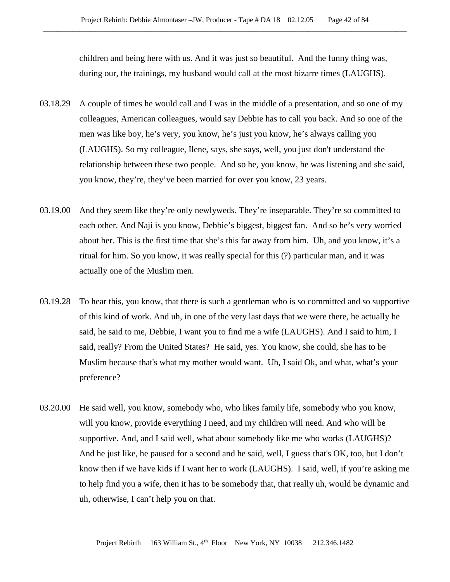children and being here with us. And it was just so beautiful. And the funny thing was, during our, the trainings, my husband would call at the most bizarre times (LAUGHS).

- 03.18.29 A couple of times he would call and I was in the middle of a presentation, and so one of my colleagues, American colleagues, would say Debbie has to call you back. And so one of the men was like boy, he's very, you know, he's just you know, he's always calling you (LAUGHS). So my colleague, Ilene, says, she says, well, you just don't understand the relationship between these two people. And so he, you know, he was listening and she said, you know, they're, they've been married for over you know, 23 years.
- 03.19.00 And they seem like they're only newlyweds. They're inseparable. They're so committed to each other. And Naji is you know, Debbie's biggest, biggest fan. And so he's very worried about her. This is the first time that she's this far away from him. Uh, and you know, it's a ritual for him. So you know, it was really special for this (?) particular man, and it was actually one of the Muslim men.
- 03.19.28 To hear this, you know, that there is such a gentleman who is so committed and so supportive of this kind of work. And uh, in one of the very last days that we were there, he actually he said, he said to me, Debbie, I want you to find me a wife (LAUGHS). And I said to him, I said, really? From the United States? He said, yes. You know, she could, she has to be Muslim because that's what my mother would want. Uh, I said Ok, and what, what's your preference?
- 03.20.00 He said well, you know, somebody who, who likes family life, somebody who you know, will you know, provide everything I need, and my children will need. And who will be supportive. And, and I said well, what about somebody like me who works (LAUGHS)? And he just like, he paused for a second and he said, well, I guess that's OK, too, but I don't know then if we have kids if I want her to work (LAUGHS). I said, well, if you're asking me to help find you a wife, then it has to be somebody that, that really uh, would be dynamic and uh, otherwise, I can't help you on that.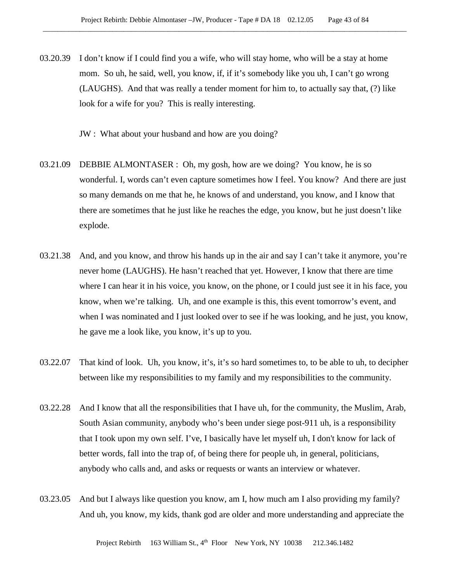- 03.20.39 I don't know if I could find you a wife, who will stay home, who will be a stay at home mom. So uh, he said, well, you know, if, if it's somebody like you uh, I can't go wrong (LAUGHS). And that was really a tender moment for him to, to actually say that, (?) like look for a wife for you? This is really interesting.
	- JW : What about your husband and how are you doing?
- 03.21.09 DEBBIE ALMONTASER : Oh, my gosh, how are we doing? You know, he is so wonderful. I, words can't even capture sometimes how I feel. You know? And there are just so many demands on me that he, he knows of and understand, you know, and I know that there are sometimes that he just like he reaches the edge, you know, but he just doesn't like explode.
- 03.21.38 And, and you know, and throw his hands up in the air and say I can't take it anymore, you're never home (LAUGHS). He hasn't reached that yet. However, I know that there are time where I can hear it in his voice, you know, on the phone, or I could just see it in his face, you know, when we're talking. Uh, and one example is this, this event tomorrow's event, and when I was nominated and I just looked over to see if he was looking, and he just, you know, he gave me a look like, you know, it's up to you.
- 03.22.07 That kind of look. Uh, you know, it's, it's so hard sometimes to, to be able to uh, to decipher between like my responsibilities to my family and my responsibilities to the community.
- 03.22.28 And I know that all the responsibilities that I have uh, for the community, the Muslim, Arab, South Asian community, anybody who's been under siege post-911 uh, is a responsibility that I took upon my own self. I've, I basically have let myself uh, I don't know for lack of better words, fall into the trap of, of being there for people uh, in general, politicians, anybody who calls and, and asks or requests or wants an interview or whatever.
- 03.23.05 And but I always like question you know, am I, how much am I also providing my family? And uh, you know, my kids, thank god are older and more understanding and appreciate the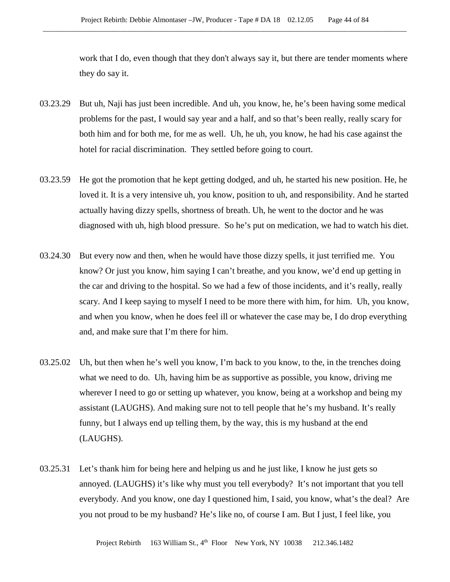work that I do, even though that they don't always say it, but there are tender moments where they do say it.

- 03.23.29 But uh, Naji has just been incredible. And uh, you know, he, he's been having some medical problems for the past, I would say year and a half, and so that's been really, really scary for both him and for both me, for me as well. Uh, he uh, you know, he had his case against the hotel for racial discrimination. They settled before going to court.
- 03.23.59 He got the promotion that he kept getting dodged, and uh, he started his new position. He, he loved it. It is a very intensive uh, you know, position to uh, and responsibility. And he started actually having dizzy spells, shortness of breath. Uh, he went to the doctor and he was diagnosed with uh, high blood pressure. So he's put on medication, we had to watch his diet.
- 03.24.30 But every now and then, when he would have those dizzy spells, it just terrified me. You know? Or just you know, him saying I can't breathe, and you know, we'd end up getting in the car and driving to the hospital. So we had a few of those incidents, and it's really, really scary. And I keep saying to myself I need to be more there with him, for him. Uh, you know, and when you know, when he does feel ill or whatever the case may be, I do drop everything and, and make sure that I'm there for him.
- 03.25.02 Uh, but then when he's well you know, I'm back to you know, to the, in the trenches doing what we need to do. Uh, having him be as supportive as possible, you know, driving me wherever I need to go or setting up whatever, you know, being at a workshop and being my assistant (LAUGHS). And making sure not to tell people that he's my husband. It's really funny, but I always end up telling them, by the way, this is my husband at the end (LAUGHS).
- 03.25.31 Let's thank him for being here and helping us and he just like, I know he just gets so annoyed. (LAUGHS) it's like why must you tell everybody? It's not important that you tell everybody. And you know, one day I questioned him, I said, you know, what's the deal? Are you not proud to be my husband? He's like no, of course I am. But I just, I feel like, you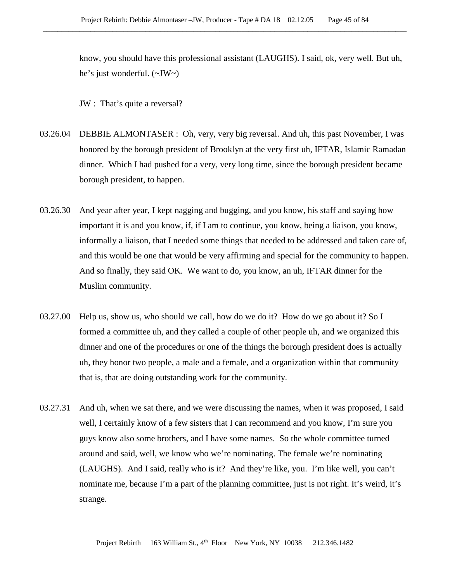know, you should have this professional assistant (LAUGHS). I said, ok, very well. But uh, he's just wonderful. (~JW~)

JW : That's quite a reversal?

- 03.26.04 DEBBIE ALMONTASER : Oh, very, very big reversal. And uh, this past November, I was honored by the borough president of Brooklyn at the very first uh, IFTAR, Islamic Ramadan dinner. Which I had pushed for a very, very long time, since the borough president became borough president, to happen.
- 03.26.30 And year after year, I kept nagging and bugging, and you know, his staff and saying how important it is and you know, if, if I am to continue, you know, being a liaison, you know, informally a liaison, that I needed some things that needed to be addressed and taken care of, and this would be one that would be very affirming and special for the community to happen. And so finally, they said OK. We want to do, you know, an uh, IFTAR dinner for the Muslim community.
- 03.27.00 Help us, show us, who should we call, how do we do it? How do we go about it? So I formed a committee uh, and they called a couple of other people uh, and we organized this dinner and one of the procedures or one of the things the borough president does is actually uh, they honor two people, a male and a female, and a organization within that community that is, that are doing outstanding work for the community.
- 03.27.31 And uh, when we sat there, and we were discussing the names, when it was proposed, I said well, I certainly know of a few sisters that I can recommend and you know, I'm sure you guys know also some brothers, and I have some names. So the whole committee turned around and said, well, we know who we're nominating. The female we're nominating (LAUGHS). And I said, really who is it? And they're like, you. I'm like well, you can't nominate me, because I'm a part of the planning committee, just is not right. It's weird, it's strange.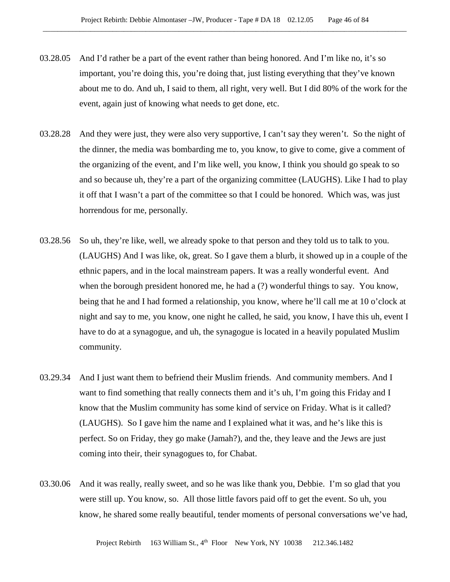- 03.28.05 And I'd rather be a part of the event rather than being honored. And I'm like no, it's so important, you're doing this, you're doing that, just listing everything that they've known about me to do. And uh, I said to them, all right, very well. But I did 80% of the work for the event, again just of knowing what needs to get done, etc.
- 03.28.28 And they were just, they were also very supportive, I can't say they weren't. So the night of the dinner, the media was bombarding me to, you know, to give to come, give a comment of the organizing of the event, and I'm like well, you know, I think you should go speak to so and so because uh, they're a part of the organizing committee (LAUGHS). Like I had to play it off that I wasn't a part of the committee so that I could be honored. Which was, was just horrendous for me, personally.
- 03.28.56 So uh, they're like, well, we already spoke to that person and they told us to talk to you. (LAUGHS) And I was like, ok, great. So I gave them a blurb, it showed up in a couple of the ethnic papers, and in the local mainstream papers. It was a really wonderful event. And when the borough president honored me, he had a (?) wonderful things to say. You know, being that he and I had formed a relationship, you know, where he'll call me at 10 o'clock at night and say to me, you know, one night he called, he said, you know, I have this uh, event I have to do at a synagogue, and uh, the synagogue is located in a heavily populated Muslim community.
- 03.29.34 And I just want them to befriend their Muslim friends. And community members. And I want to find something that really connects them and it's uh, I'm going this Friday and I know that the Muslim community has some kind of service on Friday. What is it called? (LAUGHS). So I gave him the name and I explained what it was, and he's like this is perfect. So on Friday, they go make (Jamah?), and the, they leave and the Jews are just coming into their, their synagogues to, for Chabat.
- 03.30.06 And it was really, really sweet, and so he was like thank you, Debbie. I'm so glad that you were still up. You know, so. All those little favors paid off to get the event. So uh, you know, he shared some really beautiful, tender moments of personal conversations we've had,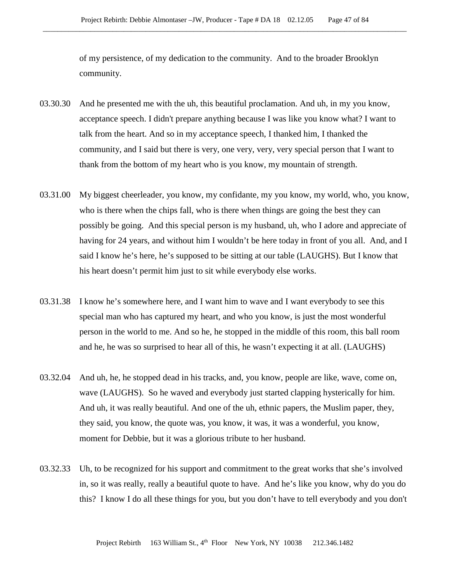of my persistence, of my dedication to the community. And to the broader Brooklyn community.

- 03.30.30 And he presented me with the uh, this beautiful proclamation. And uh, in my you know, acceptance speech. I didn't prepare anything because I was like you know what? I want to talk from the heart. And so in my acceptance speech, I thanked him, I thanked the community, and I said but there is very, one very, very, very special person that I want to thank from the bottom of my heart who is you know, my mountain of strength.
- 03.31.00 My biggest cheerleader, you know, my confidante, my you know, my world, who, you know, who is there when the chips fall, who is there when things are going the best they can possibly be going. And this special person is my husband, uh, who I adore and appreciate of having for 24 years, and without him I wouldn't be here today in front of you all. And, and I said I know he's here, he's supposed to be sitting at our table (LAUGHS). But I know that his heart doesn't permit him just to sit while everybody else works.
- 03.31.38 I know he's somewhere here, and I want him to wave and I want everybody to see this special man who has captured my heart, and who you know, is just the most wonderful person in the world to me. And so he, he stopped in the middle of this room, this ball room and he, he was so surprised to hear all of this, he wasn't expecting it at all. (LAUGHS)
- 03.32.04 And uh, he, he stopped dead in his tracks, and, you know, people are like, wave, come on, wave (LAUGHS). So he waved and everybody just started clapping hysterically for him. And uh, it was really beautiful. And one of the uh, ethnic papers, the Muslim paper, they, they said, you know, the quote was, you know, it was, it was a wonderful, you know, moment for Debbie, but it was a glorious tribute to her husband.
- 03.32.33 Uh, to be recognized for his support and commitment to the great works that she's involved in, so it was really, really a beautiful quote to have. And he's like you know, why do you do this? I know I do all these things for you, but you don't have to tell everybody and you don't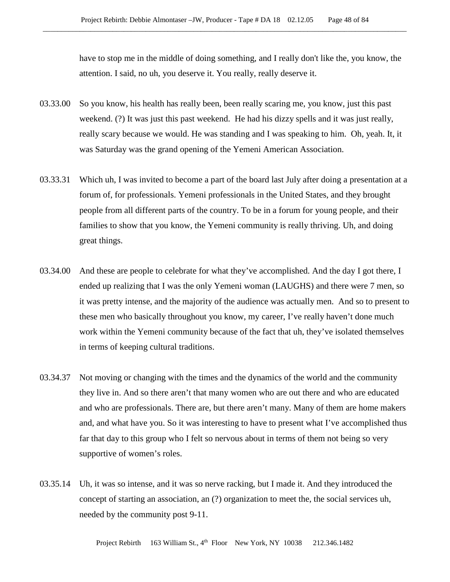have to stop me in the middle of doing something, and I really don't like the, you know, the attention. I said, no uh, you deserve it. You really, really deserve it.

- 03.33.00 So you know, his health has really been, been really scaring me, you know, just this past weekend. (?) It was just this past weekend. He had his dizzy spells and it was just really, really scary because we would. He was standing and I was speaking to him. Oh, yeah. It, it was Saturday was the grand opening of the Yemeni American Association.
- 03.33.31 Which uh, I was invited to become a part of the board last July after doing a presentation at a forum of, for professionals. Yemeni professionals in the United States, and they brought people from all different parts of the country. To be in a forum for young people, and their families to show that you know, the Yemeni community is really thriving. Uh, and doing great things.
- 03.34.00 And these are people to celebrate for what they've accomplished. And the day I got there, I ended up realizing that I was the only Yemeni woman (LAUGHS) and there were 7 men, so it was pretty intense, and the majority of the audience was actually men. And so to present to these men who basically throughout you know, my career, I've really haven't done much work within the Yemeni community because of the fact that uh, they've isolated themselves in terms of keeping cultural traditions.
- 03.34.37 Not moving or changing with the times and the dynamics of the world and the community they live in. And so there aren't that many women who are out there and who are educated and who are professionals. There are, but there aren't many. Many of them are home makers and, and what have you. So it was interesting to have to present what I've accomplished thus far that day to this group who I felt so nervous about in terms of them not being so very supportive of women's roles.
- 03.35.14 Uh, it was so intense, and it was so nerve racking, but I made it. And they introduced the concept of starting an association, an (?) organization to meet the, the social services uh, needed by the community post 9-11.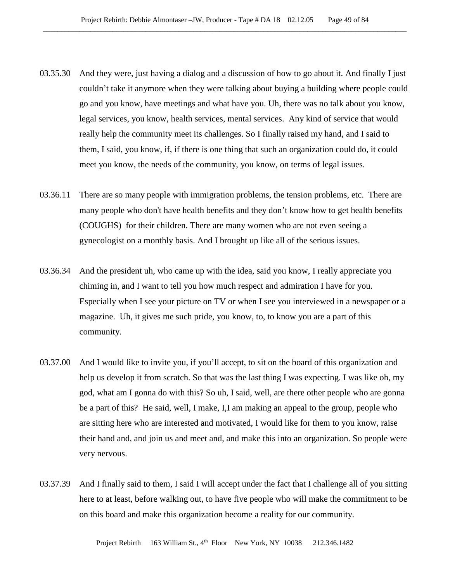- 03.35.30 And they were, just having a dialog and a discussion of how to go about it. And finally I just couldn't take it anymore when they were talking about buying a building where people could go and you know, have meetings and what have you. Uh, there was no talk about you know, legal services, you know, health services, mental services. Any kind of service that would really help the community meet its challenges. So I finally raised my hand, and I said to them, I said, you know, if, if there is one thing that such an organization could do, it could meet you know, the needs of the community, you know, on terms of legal issues.
- 03.36.11 There are so many people with immigration problems, the tension problems, etc. There are many people who don't have health benefits and they don't know how to get health benefits (COUGHS) for their children. There are many women who are not even seeing a gynecologist on a monthly basis. And I brought up like all of the serious issues.
- 03.36.34 And the president uh, who came up with the idea, said you know, I really appreciate you chiming in, and I want to tell you how much respect and admiration I have for you. Especially when I see your picture on TV or when I see you interviewed in a newspaper or a magazine. Uh, it gives me such pride, you know, to, to know you are a part of this community.
- 03.37.00 And I would like to invite you, if you'll accept, to sit on the board of this organization and help us develop it from scratch. So that was the last thing I was expecting. I was like oh, my god, what am I gonna do with this? So uh, I said, well, are there other people who are gonna be a part of this? He said, well, I make, I,I am making an appeal to the group, people who are sitting here who are interested and motivated, I would like for them to you know, raise their hand and, and join us and meet and, and make this into an organization. So people were very nervous.
- 03.37.39 And I finally said to them, I said I will accept under the fact that I challenge all of you sitting here to at least, before walking out, to have five people who will make the commitment to be on this board and make this organization become a reality for our community.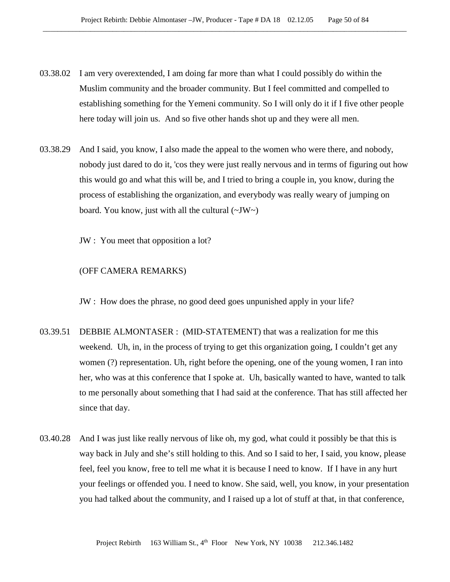- 03.38.02 I am very overextended, I am doing far more than what I could possibly do within the Muslim community and the broader community. But I feel committed and compelled to establishing something for the Yemeni community. So I will only do it if I five other people here today will join us. And so five other hands shot up and they were all men.
- 03.38.29 And I said, you know, I also made the appeal to the women who were there, and nobody, nobody just dared to do it, 'cos they were just really nervous and in terms of figuring out how this would go and what this will be, and I tried to bring a couple in, you know, during the process of establishing the organization, and everybody was really weary of jumping on board. You know, just with all the cultural  $(\sim JW)$ 
	- JW : You meet that opposition a lot?

#### (OFF CAMERA REMARKS)

JW : How does the phrase, no good deed goes unpunished apply in your life?

- 03.39.51 DEBBIE ALMONTASER : (MID-STATEMENT) that was a realization for me this weekend. Uh, in, in the process of trying to get this organization going, I couldn't get any women (?) representation. Uh, right before the opening, one of the young women, I ran into her, who was at this conference that I spoke at. Uh, basically wanted to have, wanted to talk to me personally about something that I had said at the conference. That has still affected her since that day.
- 03.40.28 And I was just like really nervous of like oh, my god, what could it possibly be that this is way back in July and she's still holding to this. And so I said to her, I said, you know, please feel, feel you know, free to tell me what it is because I need to know. If I have in any hurt your feelings or offended you. I need to know. She said, well, you know, in your presentation you had talked about the community, and I raised up a lot of stuff at that, in that conference,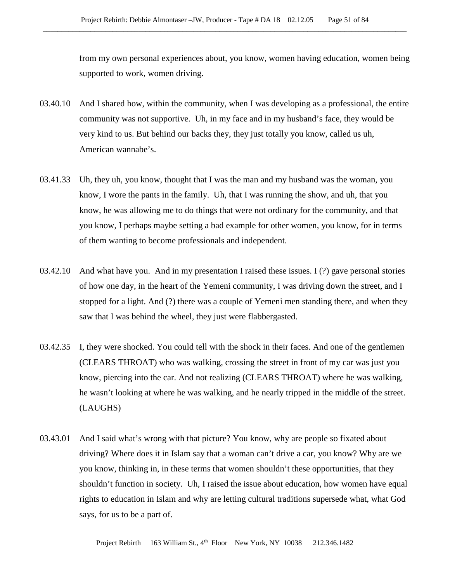from my own personal experiences about, you know, women having education, women being supported to work, women driving.

- 03.40.10 And I shared how, within the community, when I was developing as a professional, the entire community was not supportive. Uh, in my face and in my husband's face, they would be very kind to us. But behind our backs they, they just totally you know, called us uh, American wannabe's.
- 03.41.33 Uh, they uh, you know, thought that I was the man and my husband was the woman, you know, I wore the pants in the family. Uh, that I was running the show, and uh, that you know, he was allowing me to do things that were not ordinary for the community, and that you know, I perhaps maybe setting a bad example for other women, you know, for in terms of them wanting to become professionals and independent.
- 03.42.10 And what have you. And in my presentation I raised these issues. I (?) gave personal stories of how one day, in the heart of the Yemeni community, I was driving down the street, and I stopped for a light. And (?) there was a couple of Yemeni men standing there, and when they saw that I was behind the wheel, they just were flabbergasted.
- 03.42.35 I, they were shocked. You could tell with the shock in their faces. And one of the gentlemen (CLEARS THROAT) who was walking, crossing the street in front of my car was just you know, piercing into the car. And not realizing (CLEARS THROAT) where he was walking, he wasn't looking at where he was walking, and he nearly tripped in the middle of the street. (LAUGHS)
- 03.43.01 And I said what's wrong with that picture? You know, why are people so fixated about driving? Where does it in Islam say that a woman can't drive a car, you know? Why are we you know, thinking in, in these terms that women shouldn't these opportunities, that they shouldn't function in society. Uh, I raised the issue about education, how women have equal rights to education in Islam and why are letting cultural traditions supersede what, what God says, for us to be a part of.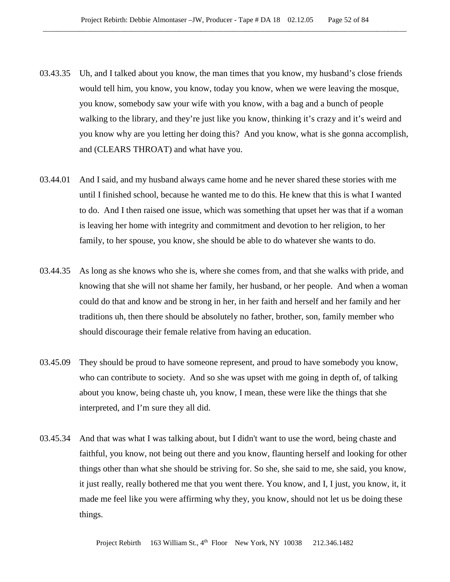- 03.43.35 Uh, and I talked about you know, the man times that you know, my husband's close friends would tell him, you know, you know, today you know, when we were leaving the mosque, you know, somebody saw your wife with you know, with a bag and a bunch of people walking to the library, and they're just like you know, thinking it's crazy and it's weird and you know why are you letting her doing this? And you know, what is she gonna accomplish, and (CLEARS THROAT) and what have you.
- 03.44.01 And I said, and my husband always came home and he never shared these stories with me until I finished school, because he wanted me to do this. He knew that this is what I wanted to do. And I then raised one issue, which was something that upset her was that if a woman is leaving her home with integrity and commitment and devotion to her religion, to her family, to her spouse, you know, she should be able to do whatever she wants to do.
- 03.44.35 As long as she knows who she is, where she comes from, and that she walks with pride, and knowing that she will not shame her family, her husband, or her people. And when a woman could do that and know and be strong in her, in her faith and herself and her family and her traditions uh, then there should be absolutely no father, brother, son, family member who should discourage their female relative from having an education.
- 03.45.09 They should be proud to have someone represent, and proud to have somebody you know, who can contribute to society. And so she was upset with me going in depth of, of talking about you know, being chaste uh, you know, I mean, these were like the things that she interpreted, and I'm sure they all did.
- 03.45.34 And that was what I was talking about, but I didn't want to use the word, being chaste and faithful, you know, not being out there and you know, flaunting herself and looking for other things other than what she should be striving for. So she, she said to me, she said, you know, it just really, really bothered me that you went there. You know, and I, I just, you know, it, it made me feel like you were affirming why they, you know, should not let us be doing these things.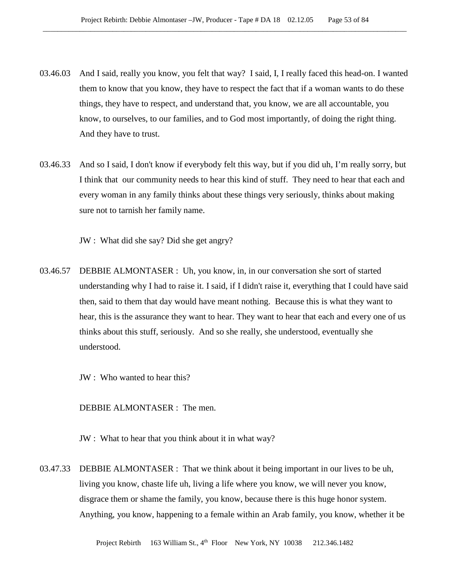- 03.46.03 And I said, really you know, you felt that way? I said, I, I really faced this head-on. I wanted them to know that you know, they have to respect the fact that if a woman wants to do these things, they have to respect, and understand that, you know, we are all accountable, you know, to ourselves, to our families, and to God most importantly, of doing the right thing. And they have to trust.
- 03.46.33 And so I said, I don't know if everybody felt this way, but if you did uh, I'm really sorry, but I think that our community needs to hear this kind of stuff. They need to hear that each and every woman in any family thinks about these things very seriously, thinks about making sure not to tarnish her family name.

JW : What did she say? Did she get angry?

03.46.57 DEBBIE ALMONTASER : Uh, you know, in, in our conversation she sort of started understanding why I had to raise it. I said, if I didn't raise it, everything that I could have said then, said to them that day would have meant nothing. Because this is what they want to hear, this is the assurance they want to hear. They want to hear that each and every one of us thinks about this stuff, seriously. And so she really, she understood, eventually she understood.

JW : Who wanted to hear this?

DEBBIE ALMONTASER : The men.

JW : What to hear that you think about it in what way?

03.47.33 DEBBIE ALMONTASER : That we think about it being important in our lives to be uh, living you know, chaste life uh, living a life where you know, we will never you know, disgrace them or shame the family, you know, because there is this huge honor system. Anything, you know, happening to a female within an Arab family, you know, whether it be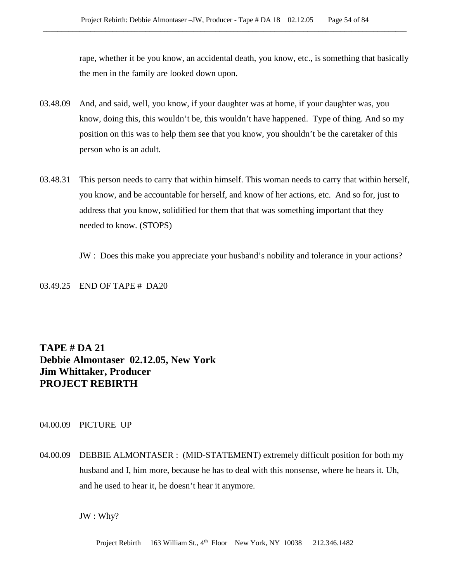rape, whether it be you know, an accidental death, you know, etc., is something that basically the men in the family are looked down upon.

- 03.48.09 And, and said, well, you know, if your daughter was at home, if your daughter was, you know, doing this, this wouldn't be, this wouldn't have happened. Type of thing. And so my position on this was to help them see that you know, you shouldn't be the caretaker of this person who is an adult.
- 03.48.31 This person needs to carry that within himself. This woman needs to carry that within herself, you know, and be accountable for herself, and know of her actions, etc. And so for, just to address that you know, solidified for them that that was something important that they needed to know. (STOPS)
	- JW : Does this make you appreciate your husband's nobility and tolerance in your actions?

03.49.25 END OF TAPE # DA20

# **TAPE # DA 21 Debbie Almontaser 02.12.05, New York Jim Whittaker, Producer PROJECT REBIRTH**

## 04.00.09 PICTURE UP

04.00.09 DEBBIE ALMONTASER : (MID-STATEMENT) extremely difficult position for both my husband and I, him more, because he has to deal with this nonsense, where he hears it. Uh, and he used to hear it, he doesn't hear it anymore.

JW : Why?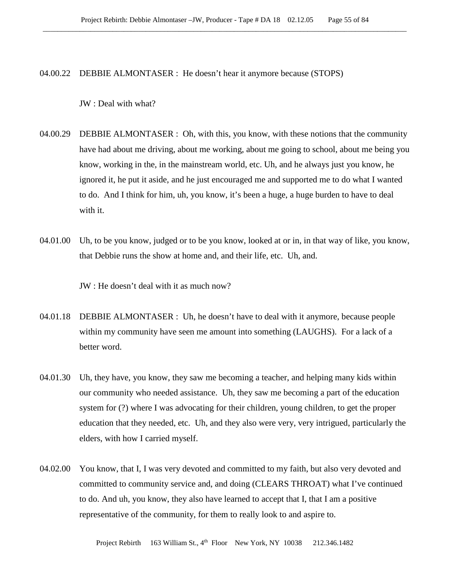04.00.22 DEBBIE ALMONTASER : He doesn't hear it anymore because (STOPS)

JW : Deal with what?

- 04.00.29 DEBBIE ALMONTASER : Oh, with this, you know, with these notions that the community have had about me driving, about me working, about me going to school, about me being you know, working in the, in the mainstream world, etc. Uh, and he always just you know, he ignored it, he put it aside, and he just encouraged me and supported me to do what I wanted to do. And I think for him, uh, you know, it's been a huge, a huge burden to have to deal with it.
- 04.01.00 Uh, to be you know, judged or to be you know, looked at or in, in that way of like, you know, that Debbie runs the show at home and, and their life, etc. Uh, and.

JW : He doesn't deal with it as much now?

- 04.01.18 DEBBIE ALMONTASER : Uh, he doesn't have to deal with it anymore, because people within my community have seen me amount into something (LAUGHS). For a lack of a better word.
- 04.01.30 Uh, they have, you know, they saw me becoming a teacher, and helping many kids within our community who needed assistance. Uh, they saw me becoming a part of the education system for (?) where I was advocating for their children, young children, to get the proper education that they needed, etc. Uh, and they also were very, very intrigued, particularly the elders, with how I carried myself.
- 04.02.00 You know, that I, I was very devoted and committed to my faith, but also very devoted and committed to community service and, and doing (CLEARS THROAT) what I've continued to do. And uh, you know, they also have learned to accept that I, that I am a positive representative of the community, for them to really look to and aspire to.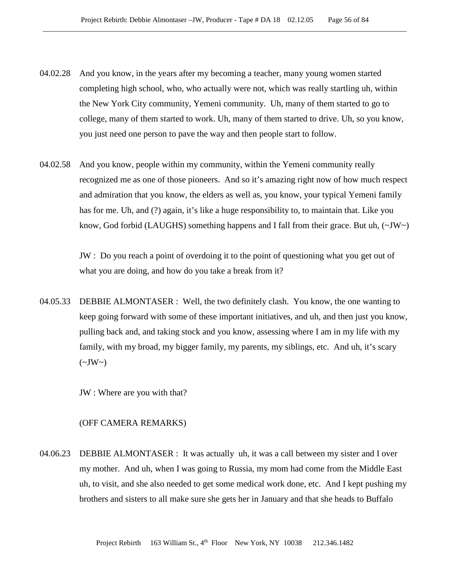- 04.02.28 And you know, in the years after my becoming a teacher, many young women started completing high school, who, who actually were not, which was really startling uh, within the New York City community, Yemeni community. Uh, many of them started to go to college, many of them started to work. Uh, many of them started to drive. Uh, so you know, you just need one person to pave the way and then people start to follow.
- 04.02.58 And you know, people within my community, within the Yemeni community really recognized me as one of those pioneers. And so it's amazing right now of how much respect and admiration that you know, the elders as well as, you know, your typical Yemeni family has for me. Uh, and (?) again, it's like a huge responsibility to, to maintain that. Like you know, God forbid (LAUGHS) something happens and I fall from their grace. But uh,  $(\sim JW)$

JW : Do you reach a point of overdoing it to the point of questioning what you get out of what you are doing, and how do you take a break from it?

04.05.33 DEBBIE ALMONTASER : Well, the two definitely clash. You know, the one wanting to keep going forward with some of these important initiatives, and uh, and then just you know, pulling back and, and taking stock and you know, assessing where I am in my life with my family, with my broad, my bigger family, my parents, my siblings, etc. And uh, it's scary  $(\sim JW \sim)$ 

JW : Where are you with that?

#### (OFF CAMERA REMARKS)

04.06.23 DEBBIE ALMONTASER : It was actually uh, it was a call between my sister and I over my mother. And uh, when I was going to Russia, my mom had come from the Middle East uh, to visit, and she also needed to get some medical work done, etc. And I kept pushing my brothers and sisters to all make sure she gets her in January and that she heads to Buffalo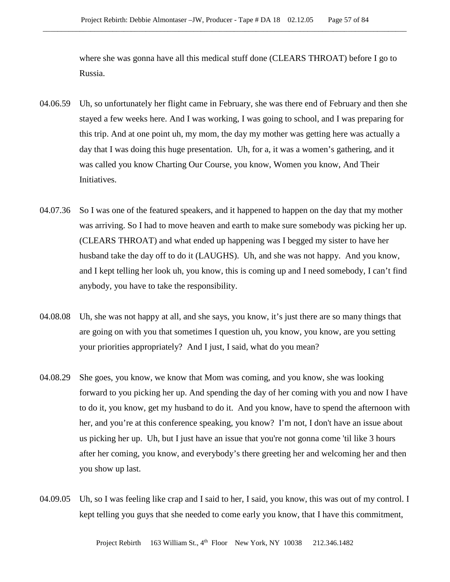where she was gonna have all this medical stuff done (CLEARS THROAT) before I go to Russia.

- 04.06.59 Uh, so unfortunately her flight came in February, she was there end of February and then she stayed a few weeks here. And I was working, I was going to school, and I was preparing for this trip. And at one point uh, my mom, the day my mother was getting here was actually a day that I was doing this huge presentation. Uh, for a, it was a women's gathering, and it was called you know Charting Our Course, you know, Women you know, And Their Initiatives.
- 04.07.36 So I was one of the featured speakers, and it happened to happen on the day that my mother was arriving. So I had to move heaven and earth to make sure somebody was picking her up. (CLEARS THROAT) and what ended up happening was I begged my sister to have her husband take the day off to do it (LAUGHS). Uh, and she was not happy. And you know, and I kept telling her look uh, you know, this is coming up and I need somebody, I can't find anybody, you have to take the responsibility.
- 04.08.08 Uh, she was not happy at all, and she says, you know, it's just there are so many things that are going on with you that sometimes I question uh, you know, you know, are you setting your priorities appropriately? And I just, I said, what do you mean?
- 04.08.29 She goes, you know, we know that Mom was coming, and you know, she was looking forward to you picking her up. And spending the day of her coming with you and now I have to do it, you know, get my husband to do it. And you know, have to spend the afternoon with her, and you're at this conference speaking, you know? I'm not, I don't have an issue about us picking her up. Uh, but I just have an issue that you're not gonna come 'til like 3 hours after her coming, you know, and everybody's there greeting her and welcoming her and then you show up last.
- 04.09.05 Uh, so I was feeling like crap and I said to her, I said, you know, this was out of my control. I kept telling you guys that she needed to come early you know, that I have this commitment,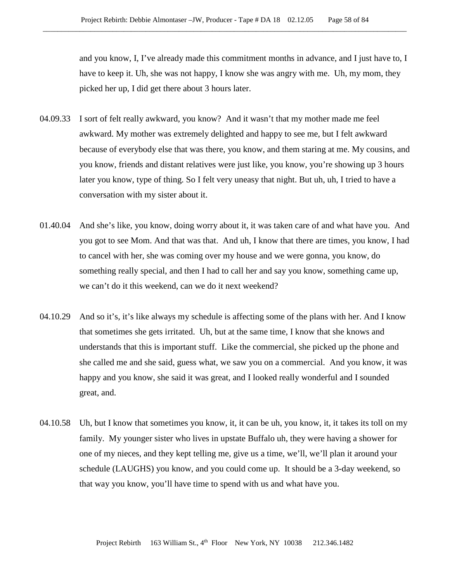and you know, I, I've already made this commitment months in advance, and I just have to, I have to keep it. Uh, she was not happy, I know she was angry with me. Uh, my mom, they picked her up, I did get there about 3 hours later.

- 04.09.33 I sort of felt really awkward, you know? And it wasn't that my mother made me feel awkward. My mother was extremely delighted and happy to see me, but I felt awkward because of everybody else that was there, you know, and them staring at me. My cousins, and you know, friends and distant relatives were just like, you know, you're showing up 3 hours later you know, type of thing. So I felt very uneasy that night. But uh, uh, I tried to have a conversation with my sister about it.
- 01.40.04 And she's like, you know, doing worry about it, it was taken care of and what have you. And you got to see Mom. And that was that. And uh, I know that there are times, you know, I had to cancel with her, she was coming over my house and we were gonna, you know, do something really special, and then I had to call her and say you know, something came up, we can't do it this weekend, can we do it next weekend?
- 04.10.29 And so it's, it's like always my schedule is affecting some of the plans with her. And I know that sometimes she gets irritated. Uh, but at the same time, I know that she knows and understands that this is important stuff. Like the commercial, she picked up the phone and she called me and she said, guess what, we saw you on a commercial. And you know, it was happy and you know, she said it was great, and I looked really wonderful and I sounded great, and.
- 04.10.58 Uh, but I know that sometimes you know, it, it can be uh, you know, it, it takes its toll on my family. My younger sister who lives in upstate Buffalo uh, they were having a shower for one of my nieces, and they kept telling me, give us a time, we'll, we'll plan it around your schedule (LAUGHS) you know, and you could come up. It should be a 3-day weekend, so that way you know, you'll have time to spend with us and what have you.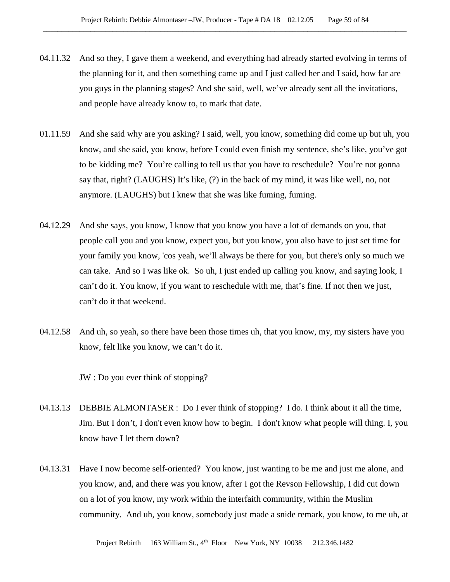- 04.11.32 And so they, I gave them a weekend, and everything had already started evolving in terms of the planning for it, and then something came up and I just called her and I said, how far are you guys in the planning stages? And she said, well, we've already sent all the invitations, and people have already know to, to mark that date.
- 01.11.59 And she said why are you asking? I said, well, you know, something did come up but uh, you know, and she said, you know, before I could even finish my sentence, she's like, you've got to be kidding me? You're calling to tell us that you have to reschedule? You're not gonna say that, right? (LAUGHS) It's like, (?) in the back of my mind, it was like well, no, not anymore. (LAUGHS) but I knew that she was like fuming, fuming.
- 04.12.29 And she says, you know, I know that you know you have a lot of demands on you, that people call you and you know, expect you, but you know, you also have to just set time for your family you know, 'cos yeah, we'll always be there for you, but there's only so much we can take. And so I was like ok. So uh, I just ended up calling you know, and saying look, I can't do it. You know, if you want to reschedule with me, that's fine. If not then we just, can't do it that weekend.
- 04.12.58 And uh, so yeah, so there have been those times uh, that you know, my, my sisters have you know, felt like you know, we can't do it.

JW : Do you ever think of stopping?

- 04.13.13 DEBBIE ALMONTASER : Do I ever think of stopping? I do. I think about it all the time, Jim. But I don't, I don't even know how to begin. I don't know what people will thing. I, you know have I let them down?
- 04.13.31 Have I now become self-oriented? You know, just wanting to be me and just me alone, and you know, and, and there was you know, after I got the Revson Fellowship, I did cut down on a lot of you know, my work within the interfaith community, within the Muslim community. And uh, you know, somebody just made a snide remark, you know, to me uh, at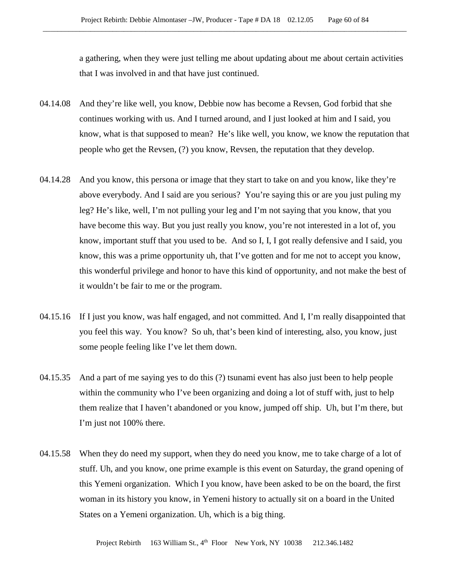a gathering, when they were just telling me about updating about me about certain activities that I was involved in and that have just continued.

- 04.14.08 And they're like well, you know, Debbie now has become a Revsen, God forbid that she continues working with us. And I turned around, and I just looked at him and I said, you know, what is that supposed to mean? He's like well, you know, we know the reputation that people who get the Revsen, (?) you know, Revsen, the reputation that they develop.
- 04.14.28 And you know, this persona or image that they start to take on and you know, like they're above everybody. And I said are you serious? You're saying this or are you just puling my leg? He's like, well, I'm not pulling your leg and I'm not saying that you know, that you have become this way. But you just really you know, you're not interested in a lot of, you know, important stuff that you used to be. And so I, I, I got really defensive and I said, you know, this was a prime opportunity uh, that I've gotten and for me not to accept you know, this wonderful privilege and honor to have this kind of opportunity, and not make the best of it wouldn't be fair to me or the program.
- 04.15.16 If I just you know, was half engaged, and not committed. And I, I'm really disappointed that you feel this way. You know? So uh, that's been kind of interesting, also, you know, just some people feeling like I've let them down.
- 04.15.35 And a part of me saying yes to do this (?) tsunami event has also just been to help people within the community who I've been organizing and doing a lot of stuff with, just to help them realize that I haven't abandoned or you know, jumped off ship. Uh, but I'm there, but I'm just not 100% there.
- 04.15.58 When they do need my support, when they do need you know, me to take charge of a lot of stuff. Uh, and you know, one prime example is this event on Saturday, the grand opening of this Yemeni organization. Which I you know, have been asked to be on the board, the first woman in its history you know, in Yemeni history to actually sit on a board in the United States on a Yemeni organization. Uh, which is a big thing.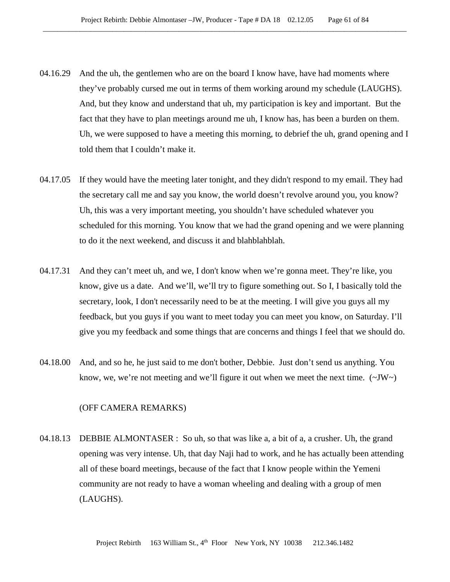- 04.16.29 And the uh, the gentlemen who are on the board I know have, have had moments where they've probably cursed me out in terms of them working around my schedule (LAUGHS). And, but they know and understand that uh, my participation is key and important. But the fact that they have to plan meetings around me uh, I know has, has been a burden on them. Uh, we were supposed to have a meeting this morning, to debrief the uh, grand opening and I told them that I couldn't make it.
- 04.17.05 If they would have the meeting later tonight, and they didn't respond to my email. They had the secretary call me and say you know, the world doesn't revolve around you, you know? Uh, this was a very important meeting, you shouldn't have scheduled whatever you scheduled for this morning. You know that we had the grand opening and we were planning to do it the next weekend, and discuss it and blahblahblah.
- 04.17.31 And they can't meet uh, and we, I don't know when we're gonna meet. They're like, you know, give us a date. And we'll, we'll try to figure something out. So I, I basically told the secretary, look, I don't necessarily need to be at the meeting. I will give you guys all my feedback, but you guys if you want to meet today you can meet you know, on Saturday. I'll give you my feedback and some things that are concerns and things I feel that we should do.
- 04.18.00 And, and so he, he just said to me don't bother, Debbie. Just don't send us anything. You know, we, we're not meeting and we'll figure it out when we meet the next time.  $(\sim JW)$

### (OFF CAMERA REMARKS)

04.18.13 DEBBIE ALMONTASER : So uh, so that was like a, a bit of a, a crusher. Uh, the grand opening was very intense. Uh, that day Naji had to work, and he has actually been attending all of these board meetings, because of the fact that I know people within the Yemeni community are not ready to have a woman wheeling and dealing with a group of men (LAUGHS).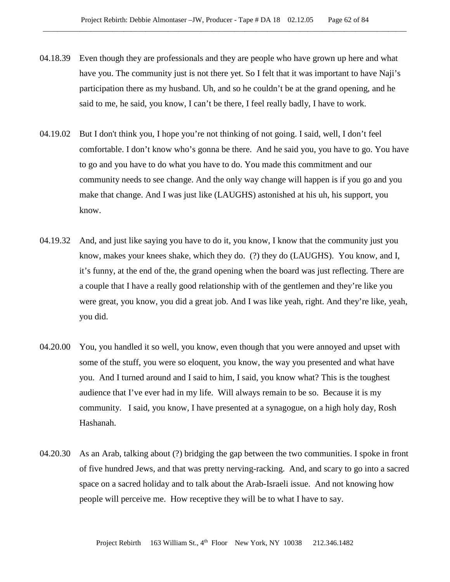- 04.18.39 Even though they are professionals and they are people who have grown up here and what have you. The community just is not there yet. So I felt that it was important to have Naji's participation there as my husband. Uh, and so he couldn't be at the grand opening, and he said to me, he said, you know, I can't be there, I feel really badly, I have to work.
- 04.19.02 But I don't think you, I hope you're not thinking of not going. I said, well, I don't feel comfortable. I don't know who's gonna be there. And he said you, you have to go. You have to go and you have to do what you have to do. You made this commitment and our community needs to see change. And the only way change will happen is if you go and you make that change. And I was just like (LAUGHS) astonished at his uh, his support, you know.
- 04.19.32 And, and just like saying you have to do it, you know, I know that the community just you know, makes your knees shake, which they do. (?) they do (LAUGHS). You know, and I, it's funny, at the end of the, the grand opening when the board was just reflecting. There are a couple that I have a really good relationship with of the gentlemen and they're like you were great, you know, you did a great job. And I was like yeah, right. And they're like, yeah, you did.
- 04.20.00 You, you handled it so well, you know, even though that you were annoyed and upset with some of the stuff, you were so eloquent, you know, the way you presented and what have you. And I turned around and I said to him, I said, you know what? This is the toughest audience that I've ever had in my life. Will always remain to be so. Because it is my community. I said, you know, I have presented at a synagogue, on a high holy day, Rosh Hashanah.
- 04.20.30 As an Arab, talking about (?) bridging the gap between the two communities. I spoke in front of five hundred Jews, and that was pretty nerving-racking. And, and scary to go into a sacred space on a sacred holiday and to talk about the Arab-Israeli issue. And not knowing how people will perceive me. How receptive they will be to what I have to say.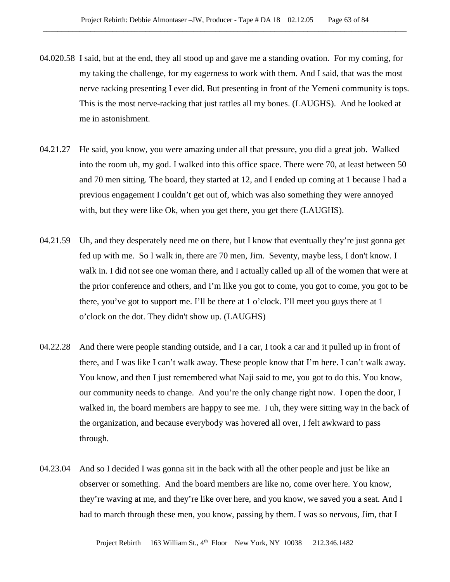- 04.020.58 I said, but at the end, they all stood up and gave me a standing ovation. For my coming, for my taking the challenge, for my eagerness to work with them. And I said, that was the most nerve racking presenting I ever did. But presenting in front of the Yemeni community is tops. This is the most nerve-racking that just rattles all my bones. (LAUGHS). And he looked at me in astonishment.
- 04.21.27 He said, you know, you were amazing under all that pressure, you did a great job. Walked into the room uh, my god. I walked into this office space. There were 70, at least between 50 and 70 men sitting. The board, they started at 12, and I ended up coming at 1 because I had a previous engagement I couldn't get out of, which was also something they were annoyed with, but they were like Ok, when you get there, you get there (LAUGHS).
- 04.21.59 Uh, and they desperately need me on there, but I know that eventually they're just gonna get fed up with me. So I walk in, there are 70 men, Jim. Seventy, maybe less, I don't know. I walk in. I did not see one woman there, and I actually called up all of the women that were at the prior conference and others, and I'm like you got to come, you got to come, you got to be there, you've got to support me. I'll be there at 1 o'clock. I'll meet you guys there at 1 o'clock on the dot. They didn't show up. (LAUGHS)
- 04.22.28 And there were people standing outside, and I a car, I took a car and it pulled up in front of there, and I was like I can't walk away. These people know that I'm here. I can't walk away. You know, and then I just remembered what Naji said to me, you got to do this. You know, our community needs to change. And you're the only change right now. I open the door, I walked in, the board members are happy to see me. I uh, they were sitting way in the back of the organization, and because everybody was hovered all over, I felt awkward to pass through.
- 04.23.04 And so I decided I was gonna sit in the back with all the other people and just be like an observer or something. And the board members are like no, come over here. You know, they're waving at me, and they're like over here, and you know, we saved you a seat. And I had to march through these men, you know, passing by them. I was so nervous, Jim, that I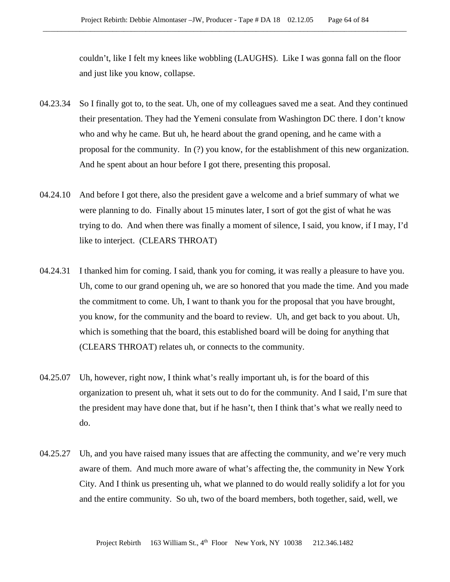couldn't, like I felt my knees like wobbling (LAUGHS). Like I was gonna fall on the floor and just like you know, collapse.

- 04.23.34 So I finally got to, to the seat. Uh, one of my colleagues saved me a seat. And they continued their presentation. They had the Yemeni consulate from Washington DC there. I don't know who and why he came. But uh, he heard about the grand opening, and he came with a proposal for the community. In (?) you know, for the establishment of this new organization. And he spent about an hour before I got there, presenting this proposal.
- 04.24.10 And before I got there, also the president gave a welcome and a brief summary of what we were planning to do. Finally about 15 minutes later, I sort of got the gist of what he was trying to do. And when there was finally a moment of silence, I said, you know, if I may, I'd like to interject. (CLEARS THROAT)
- 04.24.31 I thanked him for coming. I said, thank you for coming, it was really a pleasure to have you. Uh, come to our grand opening uh, we are so honored that you made the time. And you made the commitment to come. Uh, I want to thank you for the proposal that you have brought, you know, for the community and the board to review. Uh, and get back to you about. Uh, which is something that the board, this established board will be doing for anything that (CLEARS THROAT) relates uh, or connects to the community.
- 04.25.07 Uh, however, right now, I think what's really important uh, is for the board of this organization to present uh, what it sets out to do for the community. And I said, I'm sure that the president may have done that, but if he hasn't, then I think that's what we really need to do.
- 04.25.27 Uh, and you have raised many issues that are affecting the community, and we're very much aware of them. And much more aware of what's affecting the, the community in New York City. And I think us presenting uh, what we planned to do would really solidify a lot for you and the entire community. So uh, two of the board members, both together, said, well, we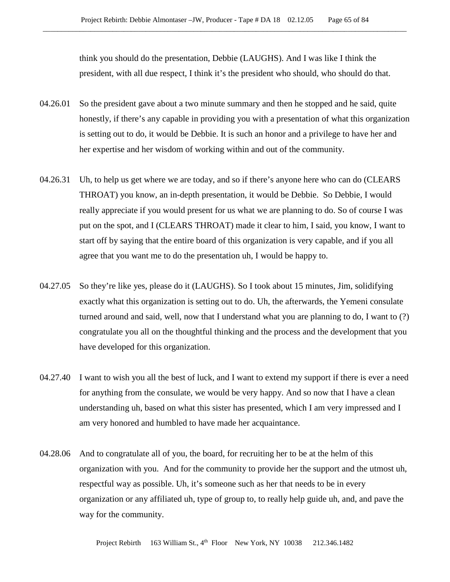think you should do the presentation, Debbie (LAUGHS). And I was like I think the president, with all due respect, I think it's the president who should, who should do that.

- 04.26.01 So the president gave about a two minute summary and then he stopped and he said, quite honestly, if there's any capable in providing you with a presentation of what this organization is setting out to do, it would be Debbie. It is such an honor and a privilege to have her and her expertise and her wisdom of working within and out of the community.
- 04.26.31 Uh, to help us get where we are today, and so if there's anyone here who can do (CLEARS THROAT) you know, an in-depth presentation, it would be Debbie. So Debbie, I would really appreciate if you would present for us what we are planning to do. So of course I was put on the spot, and I (CLEARS THROAT) made it clear to him, I said, you know, I want to start off by saying that the entire board of this organization is very capable, and if you all agree that you want me to do the presentation uh, I would be happy to.
- 04.27.05 So they're like yes, please do it (LAUGHS). So I took about 15 minutes, Jim, solidifying exactly what this organization is setting out to do. Uh, the afterwards, the Yemeni consulate turned around and said, well, now that I understand what you are planning to do, I want to (?) congratulate you all on the thoughtful thinking and the process and the development that you have developed for this organization.
- 04.27.40 I want to wish you all the best of luck, and I want to extend my support if there is ever a need for anything from the consulate, we would be very happy. And so now that I have a clean understanding uh, based on what this sister has presented, which I am very impressed and I am very honored and humbled to have made her acquaintance.
- 04.28.06 And to congratulate all of you, the board, for recruiting her to be at the helm of this organization with you. And for the community to provide her the support and the utmost uh, respectful way as possible. Uh, it's someone such as her that needs to be in every organization or any affiliated uh, type of group to, to really help guide uh, and, and pave the way for the community.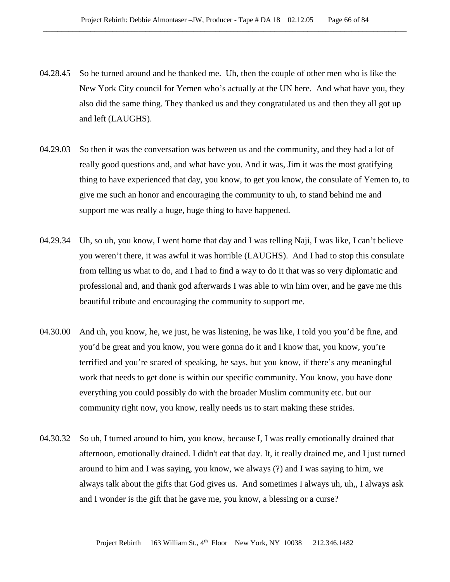- 04.28.45 So he turned around and he thanked me. Uh, then the couple of other men who is like the New York City council for Yemen who's actually at the UN here. And what have you, they also did the same thing. They thanked us and they congratulated us and then they all got up and left (LAUGHS).
- 04.29.03 So then it was the conversation was between us and the community, and they had a lot of really good questions and, and what have you. And it was, Jim it was the most gratifying thing to have experienced that day, you know, to get you know, the consulate of Yemen to, to give me such an honor and encouraging the community to uh, to stand behind me and support me was really a huge, huge thing to have happened.
- 04.29.34 Uh, so uh, you know, I went home that day and I was telling Naji, I was like, I can't believe you weren't there, it was awful it was horrible (LAUGHS). And I had to stop this consulate from telling us what to do, and I had to find a way to do it that was so very diplomatic and professional and, and thank god afterwards I was able to win him over, and he gave me this beautiful tribute and encouraging the community to support me.
- 04.30.00 And uh, you know, he, we just, he was listening, he was like, I told you you'd be fine, and you'd be great and you know, you were gonna do it and I know that, you know, you're terrified and you're scared of speaking, he says, but you know, if there's any meaningful work that needs to get done is within our specific community. You know, you have done everything you could possibly do with the broader Muslim community etc. but our community right now, you know, really needs us to start making these strides.
- 04.30.32 So uh, I turned around to him, you know, because I, I was really emotionally drained that afternoon, emotionally drained. I didn't eat that day. It, it really drained me, and I just turned around to him and I was saying, you know, we always (?) and I was saying to him, we always talk about the gifts that God gives us. And sometimes I always uh, uh,, I always ask and I wonder is the gift that he gave me, you know, a blessing or a curse?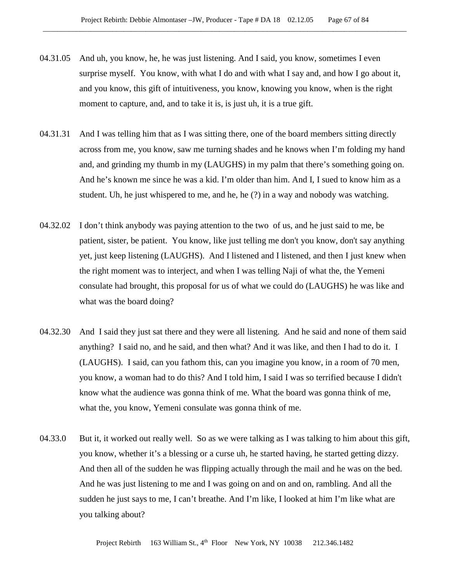- 04.31.05 And uh, you know, he, he was just listening. And I said, you know, sometimes I even surprise myself. You know, with what I do and with what I say and, and how I go about it, and you know, this gift of intuitiveness, you know, knowing you know, when is the right moment to capture, and, and to take it is, is just uh, it is a true gift.
- 04.31.31 And I was telling him that as I was sitting there, one of the board members sitting directly across from me, you know, saw me turning shades and he knows when I'm folding my hand and, and grinding my thumb in my (LAUGHS) in my palm that there's something going on. And he's known me since he was a kid. I'm older than him. And I, I sued to know him as a student. Uh, he just whispered to me, and he, he (?) in a way and nobody was watching.
- 04.32.02 I don't think anybody was paying attention to the two of us, and he just said to me, be patient, sister, be patient. You know, like just telling me don't you know, don't say anything yet, just keep listening (LAUGHS). And I listened and I listened, and then I just knew when the right moment was to interject, and when I was telling Naji of what the, the Yemeni consulate had brought, this proposal for us of what we could do (LAUGHS) he was like and what was the board doing?
- 04.32.30 And I said they just sat there and they were all listening. And he said and none of them said anything? I said no, and he said, and then what? And it was like, and then I had to do it. I (LAUGHS). I said, can you fathom this, can you imagine you know, in a room of 70 men, you know, a woman had to do this? And I told him, I said I was so terrified because I didn't know what the audience was gonna think of me. What the board was gonna think of me, what the, you know, Yemeni consulate was gonna think of me.
- 04.33.0 But it, it worked out really well. So as we were talking as I was talking to him about this gift, you know, whether it's a blessing or a curse uh, he started having, he started getting dizzy. And then all of the sudden he was flipping actually through the mail and he was on the bed. And he was just listening to me and I was going on and on and on, rambling. And all the sudden he just says to me, I can't breathe. And I'm like, I looked at him I'm like what are you talking about?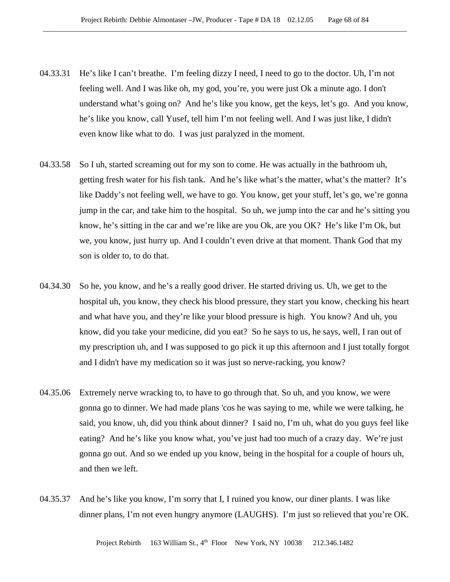- 04.33.31 He's like I can't breathe. I'm feeling dizzy I need, I need to go to the doctor. Uh, I'm not feeling well. And I was like oh, my god, you're, you were just Ok a minute ago. I don't understand what's going on? And he's like you know, get the keys, let's go. And you know, he's like you know, call Yusef, tell him I'm not feeling well. And I was just like, I didn't even know like what to do. I was just paralyzed in the moment.
- 04.33.58 So I uh, started screaming out for my son to come. He was actually in the bathroom uh, getting fresh water for his fish tank. And he's like what's the matter, what's the matter? It's like Daddy's not feeling well, we have to go. You know, get your stuff, let's go, we're gonna jump in the car, and take him to the hospital. So uh, we jump into the car and he's sitting you know, he's sitting in the car and we're like are you Ok, are you OK? He's like I'm Ok, but we, you know, just hurry up. And I couldn't even drive at that moment. Thank God that my son is older to, to do that.
- 04.34.30 So he, you know, and he's a really good driver. He started driving us. Uh, we get to the hospital uh, you know, they check his blood pressure, they start you know, checking his heart and what have you, and they're like your blood pressure is high. You know? And uh, you know, did you take your medicine, did you eat? So he says to us, he says, well, I ran out of my prescription uh, and I was supposed to go pick it up this afternoon and I just totally forgot and I didn't have my medication so it was just so nerve-racking, you know?
- 04.35.06 Extremely nerve wracking to, to have to go through that. So uh, and you know, we were gonna go to dinner. We had made plans 'cos he was saying to me, while we were talking, he said, you know, uh, did you think about dinner? I said no, I'm uh, what do you guys feel like eating? And he's like you know what, you've just had too much of a crazy day. We're just gonna go out. And so we ended up you know, being in the hospital for a couple of hours uh, and then we left.
- 04.35.37 And he's like you know, I'm sorry that I, I ruined you know, our diner plants. I was like dinner plans, I'm not even hungry anymore (LAUGHS). I'm just so relieved that you're OK.

Project Rebirth 163 William St., 4<sup>th</sup> Floor New York, NY 10038 212.346.1482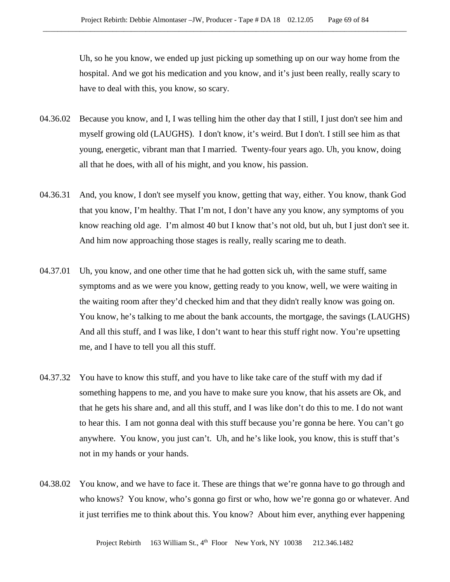Uh, so he you know, we ended up just picking up something up on our way home from the hospital. And we got his medication and you know, and it's just been really, really scary to have to deal with this, you know, so scary.

- 04.36.02 Because you know, and I, I was telling him the other day that I still, I just don't see him and myself growing old (LAUGHS). I don't know, it's weird. But I don't. I still see him as that young, energetic, vibrant man that I married. Twenty-four years ago. Uh, you know, doing all that he does, with all of his might, and you know, his passion.
- 04.36.31 And, you know, I don't see myself you know, getting that way, either. You know, thank God that you know, I'm healthy. That I'm not, I don't have any you know, any symptoms of you know reaching old age. I'm almost 40 but I know that's not old, but uh, but I just don't see it. And him now approaching those stages is really, really scaring me to death.
- 04.37.01 Uh, you know, and one other time that he had gotten sick uh, with the same stuff, same symptoms and as we were you know, getting ready to you know, well, we were waiting in the waiting room after they'd checked him and that they didn't really know was going on. You know, he's talking to me about the bank accounts, the mortgage, the savings (LAUGHS) And all this stuff, and I was like, I don't want to hear this stuff right now. You're upsetting me, and I have to tell you all this stuff.
- 04.37.32 You have to know this stuff, and you have to like take care of the stuff with my dad if something happens to me, and you have to make sure you know, that his assets are Ok, and that he gets his share and, and all this stuff, and I was like don't do this to me. I do not want to hear this. I am not gonna deal with this stuff because you're gonna be here. You can't go anywhere. You know, you just can't. Uh, and he's like look, you know, this is stuff that's not in my hands or your hands.
- 04.38.02 You know, and we have to face it. These are things that we're gonna have to go through and who knows? You know, who's gonna go first or who, how we're gonna go or whatever. And it just terrifies me to think about this. You know? About him ever, anything ever happening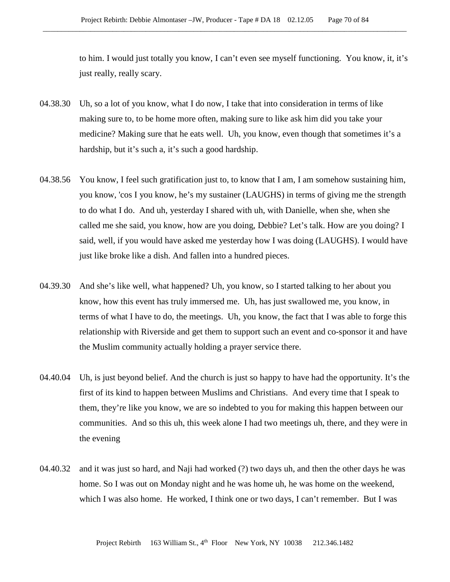to him. I would just totally you know, I can't even see myself functioning. You know, it, it's just really, really scary.

- 04.38.30 Uh, so a lot of you know, what I do now, I take that into consideration in terms of like making sure to, to be home more often, making sure to like ask him did you take your medicine? Making sure that he eats well. Uh, you know, even though that sometimes it's a hardship, but it's such a, it's such a good hardship.
- 04.38.56 You know, I feel such gratification just to, to know that I am, I am somehow sustaining him, you know, 'cos I you know, he's my sustainer (LAUGHS) in terms of giving me the strength to do what I do. And uh, yesterday I shared with uh, with Danielle, when she, when she called me she said, you know, how are you doing, Debbie? Let's talk. How are you doing? I said, well, if you would have asked me yesterday how I was doing (LAUGHS). I would have just like broke like a dish. And fallen into a hundred pieces.
- 04.39.30 And she's like well, what happened? Uh, you know, so I started talking to her about you know, how this event has truly immersed me. Uh, has just swallowed me, you know, in terms of what I have to do, the meetings. Uh, you know, the fact that I was able to forge this relationship with Riverside and get them to support such an event and co-sponsor it and have the Muslim community actually holding a prayer service there.
- 04.40.04 Uh, is just beyond belief. And the church is just so happy to have had the opportunity. It's the first of its kind to happen between Muslims and Christians. And every time that I speak to them, they're like you know, we are so indebted to you for making this happen between our communities. And so this uh, this week alone I had two meetings uh, there, and they were in the evening
- 04.40.32 and it was just so hard, and Naji had worked (?) two days uh, and then the other days he was home. So I was out on Monday night and he was home uh, he was home on the weekend, which I was also home. He worked, I think one or two days, I can't remember. But I was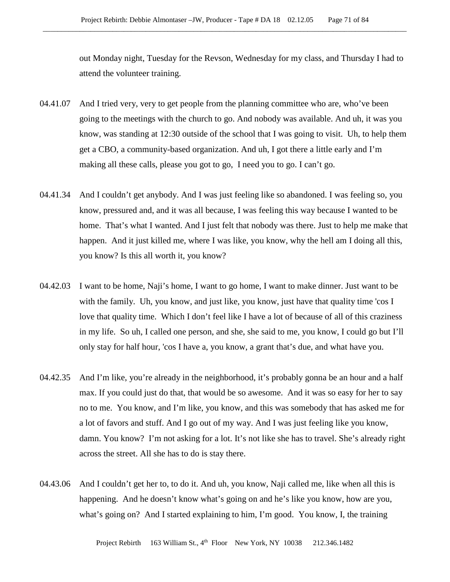out Monday night, Tuesday for the Revson, Wednesday for my class, and Thursday I had to attend the volunteer training.

- 04.41.07 And I tried very, very to get people from the planning committee who are, who've been going to the meetings with the church to go. And nobody was available. And uh, it was you know, was standing at 12:30 outside of the school that I was going to visit. Uh, to help them get a CBO, a community-based organization. And uh, I got there a little early and I'm making all these calls, please you got to go, I need you to go. I can't go.
- 04.41.34 And I couldn't get anybody. And I was just feeling like so abandoned. I was feeling so, you know, pressured and, and it was all because, I was feeling this way because I wanted to be home. That's what I wanted. And I just felt that nobody was there. Just to help me make that happen. And it just killed me, where I was like, you know, why the hell am I doing all this, you know? Is this all worth it, you know?
- 04.42.03 I want to be home, Naji's home, I want to go home, I want to make dinner. Just want to be with the family. Uh, you know, and just like, you know, just have that quality time 'cos I love that quality time. Which I don't feel like I have a lot of because of all of this craziness in my life. So uh, I called one person, and she, she said to me, you know, I could go but I'll only stay for half hour, 'cos I have a, you know, a grant that's due, and what have you.
- 04.42.35 And I'm like, you're already in the neighborhood, it's probably gonna be an hour and a half max. If you could just do that, that would be so awesome. And it was so easy for her to say no to me. You know, and I'm like, you know, and this was somebody that has asked me for a lot of favors and stuff. And I go out of my way. And I was just feeling like you know, damn. You know? I'm not asking for a lot. It's not like she has to travel. She's already right across the street. All she has to do is stay there.
- 04.43.06 And I couldn't get her to, to do it. And uh, you know, Naji called me, like when all this is happening. And he doesn't know what's going on and he's like you know, how are you, what's going on? And I started explaining to him, I'm good. You know, I, the training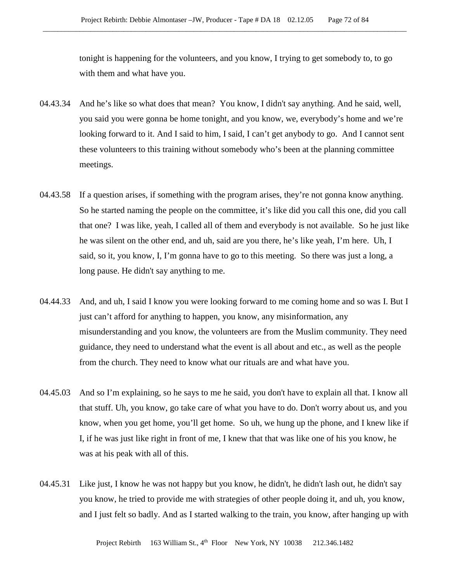tonight is happening for the volunteers, and you know, I trying to get somebody to, to go with them and what have you.

- 04.43.34 And he's like so what does that mean? You know, I didn't say anything. And he said, well, you said you were gonna be home tonight, and you know, we, everybody's home and we're looking forward to it. And I said to him, I said, I can't get anybody to go. And I cannot sent these volunteers to this training without somebody who's been at the planning committee meetings.
- 04.43.58 If a question arises, if something with the program arises, they're not gonna know anything. So he started naming the people on the committee, it's like did you call this one, did you call that one? I was like, yeah, I called all of them and everybody is not available. So he just like he was silent on the other end, and uh, said are you there, he's like yeah, I'm here. Uh, I said, so it, you know, I, I'm gonna have to go to this meeting. So there was just a long, a long pause. He didn't say anything to me.
- 04.44.33 And, and uh, I said I know you were looking forward to me coming home and so was I. But I just can't afford for anything to happen, you know, any misinformation, any misunderstanding and you know, the volunteers are from the Muslim community. They need guidance, they need to understand what the event is all about and etc., as well as the people from the church. They need to know what our rituals are and what have you.
- 04.45.03 And so I'm explaining, so he says to me he said, you don't have to explain all that. I know all that stuff. Uh, you know, go take care of what you have to do. Don't worry about us, and you know, when you get home, you'll get home. So uh, we hung up the phone, and I knew like if I, if he was just like right in front of me, I knew that that was like one of his you know, he was at his peak with all of this.
- 04.45.31 Like just, I know he was not happy but you know, he didn't, he didn't lash out, he didn't say you know, he tried to provide me with strategies of other people doing it, and uh, you know, and I just felt so badly. And as I started walking to the train, you know, after hanging up with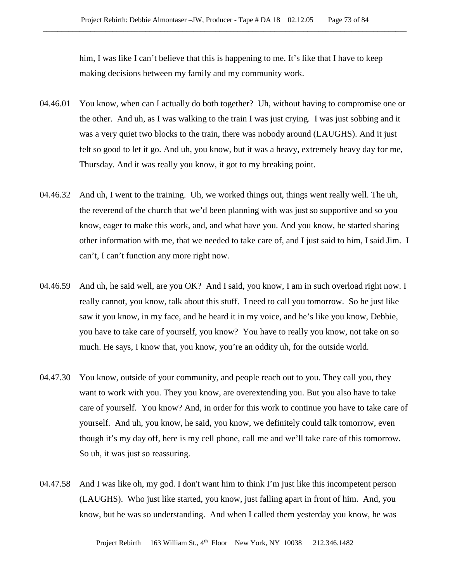him, I was like I can't believe that this is happening to me. It's like that I have to keep making decisions between my family and my community work.

- 04.46.01 You know, when can I actually do both together? Uh, without having to compromise one or the other. And uh, as I was walking to the train I was just crying. I was just sobbing and it was a very quiet two blocks to the train, there was nobody around (LAUGHS). And it just felt so good to let it go. And uh, you know, but it was a heavy, extremely heavy day for me, Thursday. And it was really you know, it got to my breaking point.
- 04.46.32 And uh, I went to the training. Uh, we worked things out, things went really well. The uh, the reverend of the church that we'd been planning with was just so supportive and so you know, eager to make this work, and, and what have you. And you know, he started sharing other information with me, that we needed to take care of, and I just said to him, I said Jim. I can't, I can't function any more right now.
- 04.46.59 And uh, he said well, are you OK? And I said, you know, I am in such overload right now. I really cannot, you know, talk about this stuff. I need to call you tomorrow. So he just like saw it you know, in my face, and he heard it in my voice, and he's like you know, Debbie, you have to take care of yourself, you know? You have to really you know, not take on so much. He says, I know that, you know, you're an oddity uh, for the outside world.
- 04.47.30 You know, outside of your community, and people reach out to you. They call you, they want to work with you. They you know, are overextending you. But you also have to take care of yourself. You know? And, in order for this work to continue you have to take care of yourself. And uh, you know, he said, you know, we definitely could talk tomorrow, even though it's my day off, here is my cell phone, call me and we'll take care of this tomorrow. So uh, it was just so reassuring.
- 04.47.58 And I was like oh, my god. I don't want him to think I'm just like this incompetent person (LAUGHS). Who just like started, you know, just falling apart in front of him. And, you know, but he was so understanding. And when I called them yesterday you know, he was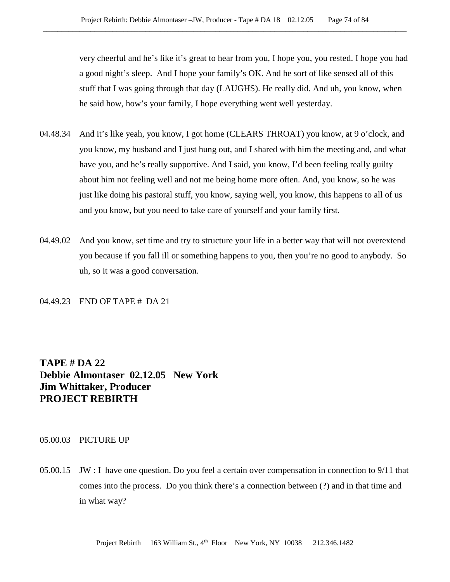very cheerful and he's like it's great to hear from you, I hope you, you rested. I hope you had a good night's sleep. And I hope your family's OK. And he sort of like sensed all of this stuff that I was going through that day (LAUGHS). He really did. And uh, you know, when he said how, how's your family, I hope everything went well yesterday.

- 04.48.34 And it's like yeah, you know, I got home (CLEARS THROAT) you know, at 9 o'clock, and you know, my husband and I just hung out, and I shared with him the meeting and, and what have you, and he's really supportive. And I said, you know, I'd been feeling really guilty about him not feeling well and not me being home more often. And, you know, so he was just like doing his pastoral stuff, you know, saying well, you know, this happens to all of us and you know, but you need to take care of yourself and your family first.
- 04.49.02 And you know, set time and try to structure your life in a better way that will not overextend you because if you fall ill or something happens to you, then you're no good to anybody. So uh, so it was a good conversation.

04.49.23 END OF TAPE # DA 21

**TAPE # DA 22 Debbie Almontaser 02.12.05 New York Jim Whittaker, Producer PROJECT REBIRTH**

## 05.00.03 PICTURE UP

05.00.15 JW : I have one question. Do you feel a certain over compensation in connection to 9/11 that comes into the process. Do you think there's a connection between (?) and in that time and in what way?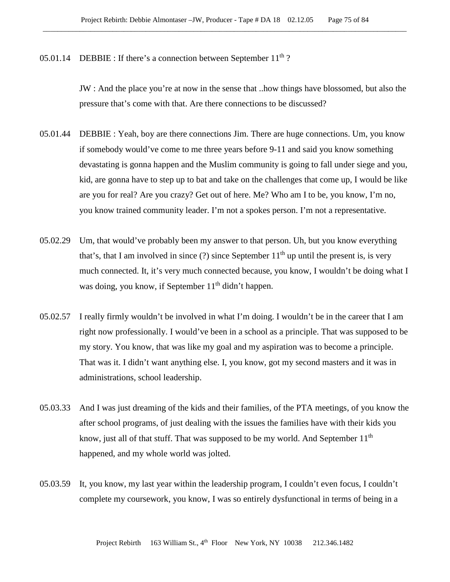05.01.14 DEBBIE : If there's a connection between September  $11<sup>th</sup>$ ?

JW : And the place you're at now in the sense that ..how things have blossomed, but also the pressure that's come with that. Are there connections to be discussed?

- 05.01.44 DEBBIE : Yeah, boy are there connections Jim. There are huge connections. Um, you know if somebody would've come to me three years before 9-11 and said you know something devastating is gonna happen and the Muslim community is going to fall under siege and you, kid, are gonna have to step up to bat and take on the challenges that come up, I would be like are you for real? Are you crazy? Get out of here. Me? Who am I to be, you know, I'm no, you know trained community leader. I'm not a spokes person. I'm not a representative.
- 05.02.29 Um, that would've probably been my answer to that person. Uh, but you know everything that's, that I am involved in since (?) since September  $11<sup>th</sup>$  up until the present is, is very much connected. It, it's very much connected because, you know, I wouldn't be doing what I was doing, you know, if September  $11<sup>th</sup>$  didn't happen.
- 05.02.57 I really firmly wouldn't be involved in what I'm doing. I wouldn't be in the career that I am right now professionally. I would've been in a school as a principle. That was supposed to be my story. You know, that was like my goal and my aspiration was to become a principle. That was it. I didn't want anything else. I, you know, got my second masters and it was in administrations, school leadership.
- 05.03.33 And I was just dreaming of the kids and their families, of the PTA meetings, of you know the after school programs, of just dealing with the issues the families have with their kids you know, just all of that stuff. That was supposed to be my world. And September  $11<sup>th</sup>$ happened, and my whole world was jolted.
- 05.03.59 It, you know, my last year within the leadership program, I couldn't even focus, I couldn't complete my coursework, you know, I was so entirely dysfunctional in terms of being in a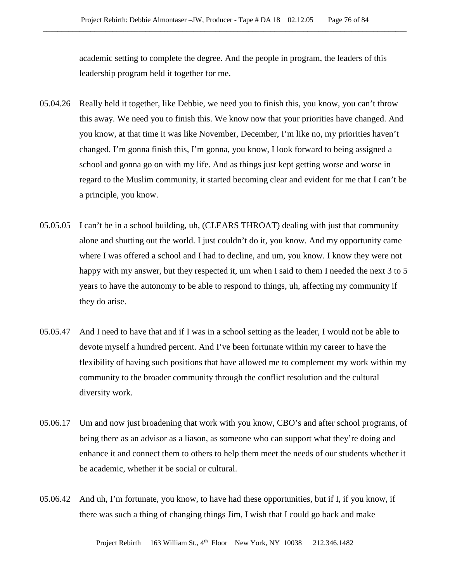academic setting to complete the degree. And the people in program, the leaders of this leadership program held it together for me.

- 05.04.26 Really held it together, like Debbie, we need you to finish this, you know, you can't throw this away. We need you to finish this. We know now that your priorities have changed. And you know, at that time it was like November, December, I'm like no, my priorities haven't changed. I'm gonna finish this, I'm gonna, you know, I look forward to being assigned a school and gonna go on with my life. And as things just kept getting worse and worse in regard to the Muslim community, it started becoming clear and evident for me that I can't be a principle, you know.
- 05.05.05 I can't be in a school building, uh, (CLEARS THROAT) dealing with just that community alone and shutting out the world. I just couldn't do it, you know. And my opportunity came where I was offered a school and I had to decline, and um, you know. I know they were not happy with my answer, but they respected it, um when I said to them I needed the next 3 to 5 years to have the autonomy to be able to respond to things, uh, affecting my community if they do arise.
- 05.05.47 And I need to have that and if I was in a school setting as the leader, I would not be able to devote myself a hundred percent. And I've been fortunate within my career to have the flexibility of having such positions that have allowed me to complement my work within my community to the broader community through the conflict resolution and the cultural diversity work.
- 05.06.17 Um and now just broadening that work with you know, CBO's and after school programs, of being there as an advisor as a liason, as someone who can support what they're doing and enhance it and connect them to others to help them meet the needs of our students whether it be academic, whether it be social or cultural.
- 05.06.42 And uh, I'm fortunate, you know, to have had these opportunities, but if I, if you know, if there was such a thing of changing things Jim, I wish that I could go back and make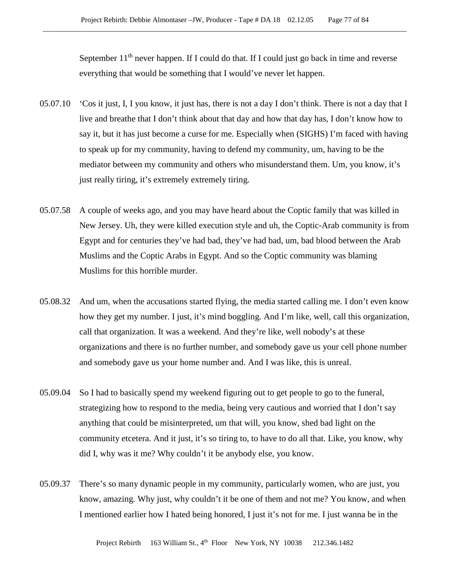September  $11<sup>th</sup>$  never happen. If I could do that. If I could just go back in time and reverse everything that would be something that I would've never let happen.

- 05.07.10 'Cos it just, I, I you know, it just has, there is not a day I don't think. There is not a day that I live and breathe that I don't think about that day and how that day has, I don't know how to say it, but it has just become a curse for me. Especially when (SIGHS) I'm faced with having to speak up for my community, having to defend my community, um, having to be the mediator between my community and others who misunderstand them. Um, you know, it's just really tiring, it's extremely extremely tiring.
- 05.07.58 A couple of weeks ago, and you may have heard about the Coptic family that was killed in New Jersey. Uh, they were killed execution style and uh, the Coptic-Arab community is from Egypt and for centuries they've had bad, they've had bad, um, bad blood between the Arab Muslims and the Coptic Arabs in Egypt. And so the Coptic community was blaming Muslims for this horrible murder.
- 05.08.32 And um, when the accusations started flying, the media started calling me. I don't even know how they get my number. I just, it's mind boggling. And I'm like, well, call this organization, call that organization. It was a weekend. And they're like, well nobody's at these organizations and there is no further number, and somebody gave us your cell phone number and somebody gave us your home number and. And I was like, this is unreal.
- 05.09.04 So I had to basically spend my weekend figuring out to get people to go to the funeral, strategizing how to respond to the media, being very cautious and worried that I don't say anything that could be misinterpreted, um that will, you know, shed bad light on the community etcetera. And it just, it's so tiring to, to have to do all that. Like, you know, why did I, why was it me? Why couldn't it be anybody else, you know.
- 05.09.37 There's so many dynamic people in my community, particularly women, who are just, you know, amazing. Why just, why couldn't it be one of them and not me? You know, and when I mentioned earlier how I hated being honored, I just it's not for me. I just wanna be in the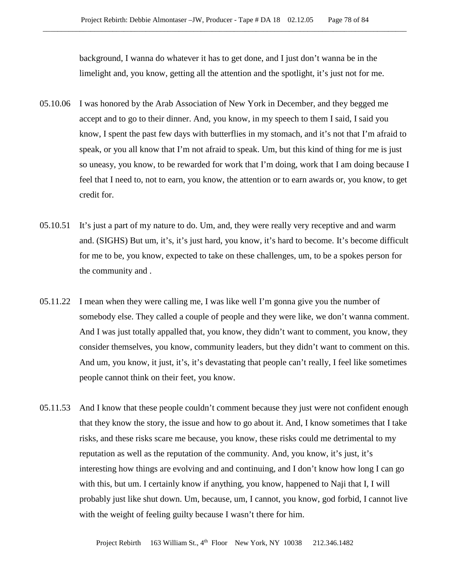background, I wanna do whatever it has to get done, and I just don't wanna be in the limelight and, you know, getting all the attention and the spotlight, it's just not for me.

- 05.10.06 I was honored by the Arab Association of New York in December, and they begged me accept and to go to their dinner. And, you know, in my speech to them I said, I said you know, I spent the past few days with butterflies in my stomach, and it's not that I'm afraid to speak, or you all know that I'm not afraid to speak. Um, but this kind of thing for me is just so uneasy, you know, to be rewarded for work that I'm doing, work that I am doing because I feel that I need to, not to earn, you know, the attention or to earn awards or, you know, to get credit for.
- 05.10.51 It's just a part of my nature to do. Um, and, they were really very receptive and and warm and. (SIGHS) But um, it's, it's just hard, you know, it's hard to become. It's become difficult for me to be, you know, expected to take on these challenges, um, to be a spokes person for the community and .
- 05.11.22 I mean when they were calling me, I was like well I'm gonna give you the number of somebody else. They called a couple of people and they were like, we don't wanna comment. And I was just totally appalled that, you know, they didn't want to comment, you know, they consider themselves, you know, community leaders, but they didn't want to comment on this. And um, you know, it just, it's, it's devastating that people can't really, I feel like sometimes people cannot think on their feet, you know.
- 05.11.53 And I know that these people couldn't comment because they just were not confident enough that they know the story, the issue and how to go about it. And, I know sometimes that I take risks, and these risks scare me because, you know, these risks could me detrimental to my reputation as well as the reputation of the community. And, you know, it's just, it's interesting how things are evolving and and continuing, and I don't know how long I can go with this, but um. I certainly know if anything, you know, happened to Naji that I, I will probably just like shut down. Um, because, um, I cannot, you know, god forbid, I cannot live with the weight of feeling guilty because I wasn't there for him.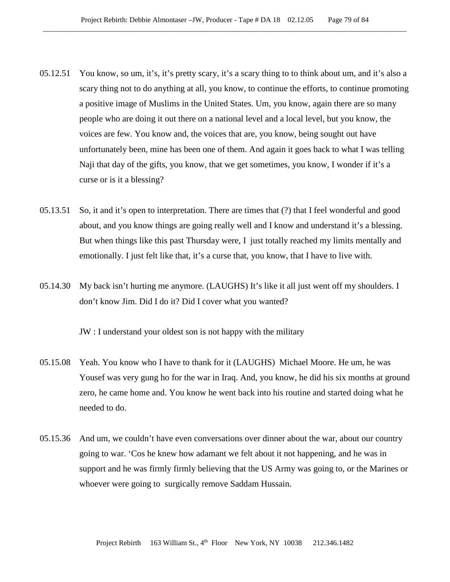- 05.12.51 You know, so um, it's, it's pretty scary, it's a scary thing to to think about um, and it's also a scary thing not to do anything at all, you know, to continue the efforts, to continue promoting a positive image of Muslims in the United States. Um, you know, again there are so many people who are doing it out there on a national level and a local level, but you know, the voices are few. You know and, the voices that are, you know, being sought out have unfortunately been, mine has been one of them. And again it goes back to what I was telling Naji that day of the gifts, you know, that we get sometimes, you know, I wonder if it's a curse or is it a blessing?
- 05.13.51 So, it and it's open to interpretation. There are times that (?) that I feel wonderful and good about, and you know things are going really well and I know and understand it's a blessing. But when things like this past Thursday were, I just totally reached my limits mentally and emotionally. I just felt like that, it's a curse that, you know, that I have to live with.
- 05.14.30 My back isn't hurting me anymore. (LAUGHS) It's like it all just went off my shoulders. I don't know Jim. Did I do it? Did I cover what you wanted?

JW : I understand your oldest son is not happy with the military

- 05.15.08 Yeah. You know who I have to thank for it (LAUGHS) Michael Moore. He um, he was Yousef was very gung ho for the war in Iraq. And, you know, he did his six months at ground zero, he came home and. You know he went back into his routine and started doing what he needed to do.
- 05.15.36 And um, we couldn't have even conversations over dinner about the war, about our country going to war. 'Cos he knew how adamant we felt about it not happening, and he was in support and he was firmly firmly believing that the US Army was going to, or the Marines or whoever were going to surgically remove Saddam Hussain.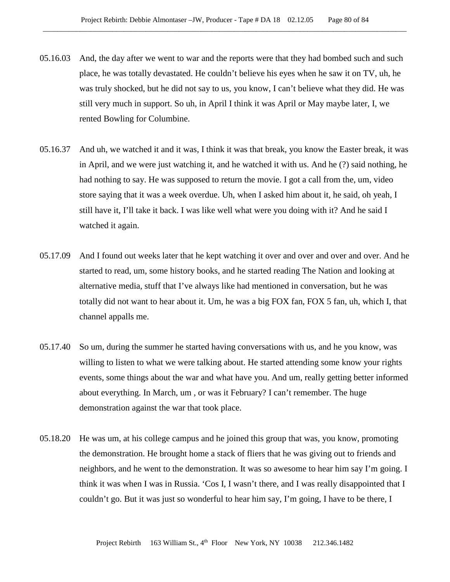- 05.16.03 And, the day after we went to war and the reports were that they had bombed such and such place, he was totally devastated. He couldn't believe his eyes when he saw it on TV, uh, he was truly shocked, but he did not say to us, you know, I can't believe what they did. He was still very much in support. So uh, in April I think it was April or May maybe later, I, we rented Bowling for Columbine.
- 05.16.37 And uh, we watched it and it was, I think it was that break, you know the Easter break, it was in April, and we were just watching it, and he watched it with us. And he (?) said nothing, he had nothing to say. He was supposed to return the movie. I got a call from the, um, video store saying that it was a week overdue. Uh, when I asked him about it, he said, oh yeah, I still have it, I'll take it back. I was like well what were you doing with it? And he said I watched it again.
- 05.17.09 And I found out weeks later that he kept watching it over and over and over and over. And he started to read, um, some history books, and he started reading The Nation and looking at alternative media, stuff that I've always like had mentioned in conversation, but he was totally did not want to hear about it. Um, he was a big FOX fan, FOX 5 fan, uh, which I, that channel appalls me.
- 05.17.40 So um, during the summer he started having conversations with us, and he you know, was willing to listen to what we were talking about. He started attending some know your rights events, some things about the war and what have you. And um, really getting better informed about everything. In March, um , or was it February? I can't remember. The huge demonstration against the war that took place.
- 05.18.20 He was um, at his college campus and he joined this group that was, you know, promoting the demonstration. He brought home a stack of fliers that he was giving out to friends and neighbors, and he went to the demonstration. It was so awesome to hear him say I'm going. I think it was when I was in Russia. 'Cos I, I wasn't there, and I was really disappointed that I couldn't go. But it was just so wonderful to hear him say, I'm going, I have to be there, I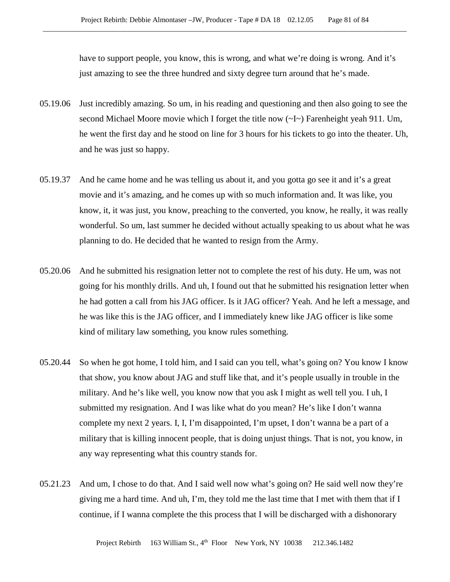have to support people, you know, this is wrong, and what we're doing is wrong. And it's just amazing to see the three hundred and sixty degree turn around that he's made.

- 05.19.06 Just incredibly amazing. So um, in his reading and questioning and then also going to see the second Michael Moore movie which I forget the title now  $(\sim I \sim)$  Farenheight yeah 911. Um, he went the first day and he stood on line for 3 hours for his tickets to go into the theater. Uh, and he was just so happy.
- 05.19.37 And he came home and he was telling us about it, and you gotta go see it and it's a great movie and it's amazing, and he comes up with so much information and. It was like, you know, it, it was just, you know, preaching to the converted, you know, he really, it was really wonderful. So um, last summer he decided without actually speaking to us about what he was planning to do. He decided that he wanted to resign from the Army.
- 05.20.06 And he submitted his resignation letter not to complete the rest of his duty. He um, was not going for his monthly drills. And uh, I found out that he submitted his resignation letter when he had gotten a call from his JAG officer. Is it JAG officer? Yeah. And he left a message, and he was like this is the JAG officer, and I immediately knew like JAG officer is like some kind of military law something, you know rules something.
- 05.20.44 So when he got home, I told him, and I said can you tell, what's going on? You know I know that show, you know about JAG and stuff like that, and it's people usually in trouble in the military. And he's like well, you know now that you ask I might as well tell you. I uh, I submitted my resignation. And I was like what do you mean? He's like I don't wanna complete my next 2 years. I, I, I'm disappointed, I'm upset, I don't wanna be a part of a military that is killing innocent people, that is doing unjust things. That is not, you know, in any way representing what this country stands for.
- 05.21.23 And um, I chose to do that. And I said well now what's going on? He said well now they're giving me a hard time. And uh, I'm, they told me the last time that I met with them that if I continue, if I wanna complete the this process that I will be discharged with a dishonorary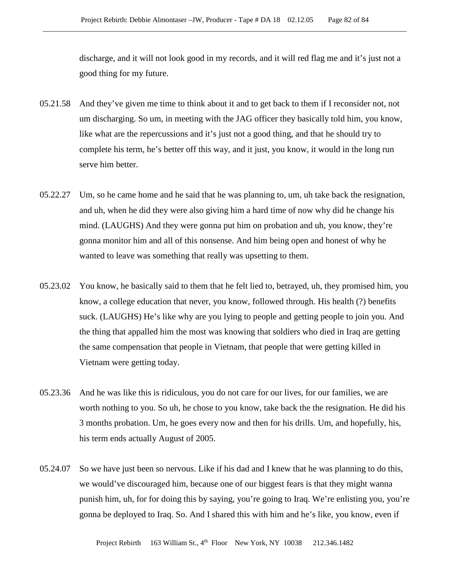discharge, and it will not look good in my records, and it will red flag me and it's just not a good thing for my future.

- 05.21.58 And they've given me time to think about it and to get back to them if I reconsider not, not um discharging. So um, in meeting with the JAG officer they basically told him, you know, like what are the repercussions and it's just not a good thing, and that he should try to complete his term, he's better off this way, and it just, you know, it would in the long run serve him better.
- 05.22.27 Um, so he came home and he said that he was planning to, um, uh take back the resignation, and uh, when he did they were also giving him a hard time of now why did he change his mind. (LAUGHS) And they were gonna put him on probation and uh, you know, they're gonna monitor him and all of this nonsense. And him being open and honest of why he wanted to leave was something that really was upsetting to them.
- 05.23.02 You know, he basically said to them that he felt lied to, betrayed, uh, they promised him, you know, a college education that never, you know, followed through. His health (?) benefits suck. (LAUGHS) He's like why are you lying to people and getting people to join you. And the thing that appalled him the most was knowing that soldiers who died in Iraq are getting the same compensation that people in Vietnam, that people that were getting killed in Vietnam were getting today.
- 05.23.36 And he was like this is ridiculous, you do not care for our lives, for our families, we are worth nothing to you. So uh, he chose to you know, take back the the resignation. He did his 3 months probation. Um, he goes every now and then for his drills. Um, and hopefully, his, his term ends actually August of 2005.
- 05.24.07 So we have just been so nervous. Like if his dad and I knew that he was planning to do this, we would've discouraged him, because one of our biggest fears is that they might wanna punish him, uh, for for doing this by saying, you're going to Iraq. We're enlisting you, you're gonna be deployed to Iraq. So. And I shared this with him and he's like, you know, even if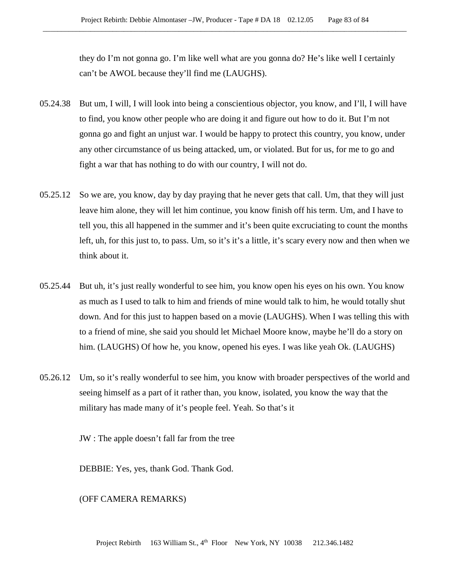they do I'm not gonna go. I'm like well what are you gonna do? He's like well I certainly can't be AWOL because they'll find me (LAUGHS).

- 05.24.38 But um, I will, I will look into being a conscientious objector, you know, and I'll, I will have to find, you know other people who are doing it and figure out how to do it. But I'm not gonna go and fight an unjust war. I would be happy to protect this country, you know, under any other circumstance of us being attacked, um, or violated. But for us, for me to go and fight a war that has nothing to do with our country, I will not do.
- 05.25.12 So we are, you know, day by day praying that he never gets that call. Um, that they will just leave him alone, they will let him continue, you know finish off his term. Um, and I have to tell you, this all happened in the summer and it's been quite excruciating to count the months left, uh, for this just to, to pass. Um, so it's it's a little, it's scary every now and then when we think about it.
- 05.25.44 But uh, it's just really wonderful to see him, you know open his eyes on his own. You know as much as I used to talk to him and friends of mine would talk to him, he would totally shut down. And for this just to happen based on a movie (LAUGHS). When I was telling this with to a friend of mine, she said you should let Michael Moore know, maybe he'll do a story on him. (LAUGHS) Of how he, you know, opened his eyes. I was like yeah Ok. (LAUGHS)
- 05.26.12 Um, so it's really wonderful to see him, you know with broader perspectives of the world and seeing himself as a part of it rather than, you know, isolated, you know the way that the military has made many of it's people feel. Yeah. So that's it

JW : The apple doesn't fall far from the tree

DEBBIE: Yes, yes, thank God. Thank God.

(OFF CAMERA REMARKS)